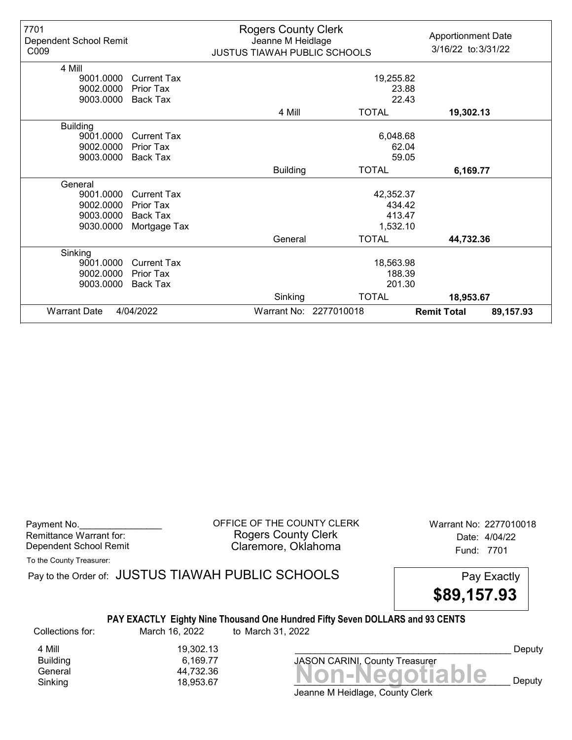| 7701<br>Dependent School Remit<br>C009 |                    | <b>Rogers County Clerk</b><br>Jeanne M Heidlage<br><b>JUSTUS TIAWAH PUBLIC SCHOOLS</b> |                        | <b>Apportionment Date</b><br>3/16/22 to: 3/31/22 |
|----------------------------------------|--------------------|----------------------------------------------------------------------------------------|------------------------|--------------------------------------------------|
| 4 Mill                                 |                    |                                                                                        |                        |                                                  |
| 9001.0000                              | <b>Current Tax</b> |                                                                                        | 19,255.82              |                                                  |
| 9002.0000                              | Prior Tax          |                                                                                        | 23.88                  |                                                  |
| 9003.0000                              | Back Tax           |                                                                                        | 22.43                  |                                                  |
|                                        |                    | 4 Mill                                                                                 | <b>TOTAL</b>           | 19,302.13                                        |
| <b>Building</b>                        |                    |                                                                                        |                        |                                                  |
| 9001.0000                              | <b>Current Tax</b> |                                                                                        | 6,048.68               |                                                  |
| 9002.0000                              | Prior Tax          | 62.04                                                                                  |                        |                                                  |
| 9003.0000                              | <b>Back Tax</b>    | 59.05                                                                                  |                        |                                                  |
|                                        |                    | <b>Building</b>                                                                        | <b>TOTAL</b>           | 6,169.77                                         |
| General                                |                    |                                                                                        |                        |                                                  |
| 9001.0000                              | <b>Current Tax</b> |                                                                                        | 42,352.37              |                                                  |
| 9002.0000                              | Prior Tax          |                                                                                        | 434.42                 |                                                  |
| 9003.0000                              | Back Tax           |                                                                                        | 413.47                 |                                                  |
| 9030.0000                              | Mortgage Tax       |                                                                                        | 1,532.10               |                                                  |
|                                        |                    | General                                                                                | <b>TOTAL</b>           | 44,732.36                                        |
| Sinking                                |                    |                                                                                        |                        |                                                  |
| 9001.0000                              | <b>Current Tax</b> | 18,563.98                                                                              |                        |                                                  |
| 9002.0000                              | Prior Tax          | 188.39                                                                                 |                        |                                                  |
| 9003.0000                              | <b>Back Tax</b>    | 201.30                                                                                 |                        |                                                  |
|                                        |                    | Sinking                                                                                | <b>TOTAL</b>           | 18,953.67                                        |
| <b>Warrant Date</b>                    | 4/04/2022          |                                                                                        | Warrant No: 2277010018 | <b>Remit Total</b><br>89,157.93                  |

Payment No. 2277010018 COUNTY CLERK Warrant No: 2277010018 Rogers County Clerk Date: 4/04/22 Dependent School Remit **Claremore, Oklahoma** Fund: 7701

To the County Treasurer:

Pay to the Order of: JUSTUS TIAWAH PUBLIC SCHOOLS Pay Exactly



### PAY EXACTLY Eighty Nine Thousand One Hundred Fifty Seven DOLLARS and 93 CENTS

Collections for: March 16, 2022 to March 31, 2022

4 Mill<br>Building 6,169.77 6,169.77

Banding<br>General 44,732.36<br>Sinking 18,953.67 **Non-Negotiable** Sinking 18,953.67  $\blacksquare$  18,953.67  $\blacksquare$ JASON CARINI, County Treasurer

Deputy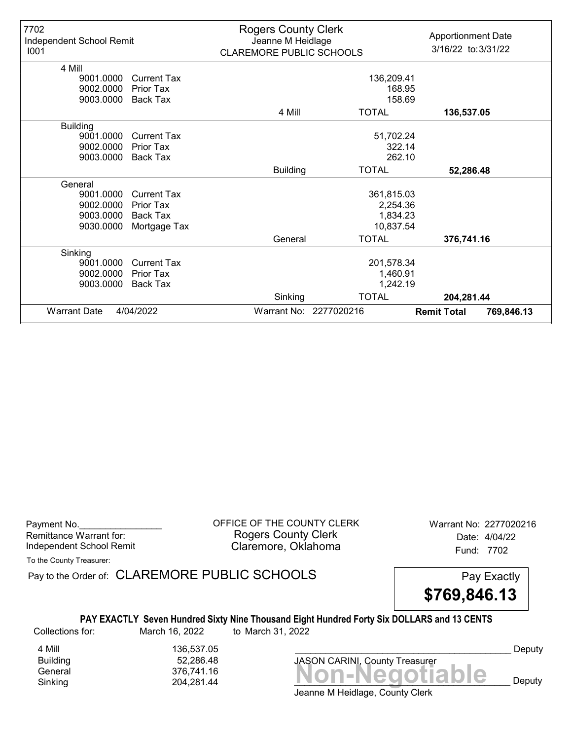| 7702<br>Independent School Remit<br>1001 |                    | <b>Rogers County Clerk</b><br>Jeanne M Heidlage<br><b>CLAREMORE PUBLIC SCHOOLS</b> |                        | <b>Apportionment Date</b><br>3/16/22 to: 3/31/22 |
|------------------------------------------|--------------------|------------------------------------------------------------------------------------|------------------------|--------------------------------------------------|
| 4 Mill                                   |                    |                                                                                    |                        |                                                  |
| 9001.0000                                | <b>Current Tax</b> |                                                                                    | 136,209.41             |                                                  |
| 9002.0000                                | Prior Tax          |                                                                                    | 168.95                 |                                                  |
| 9003.0000                                | <b>Back Tax</b>    |                                                                                    | 158.69                 |                                                  |
|                                          |                    | 4 Mill                                                                             | <b>TOTAL</b>           | 136,537.05                                       |
| <b>Building</b>                          |                    |                                                                                    |                        |                                                  |
| 9001.0000                                | <b>Current Tax</b> |                                                                                    | 51,702.24              |                                                  |
| 9002.0000                                | <b>Prior Tax</b>   | 322.14                                                                             |                        |                                                  |
| 9003.0000                                | <b>Back Tax</b>    |                                                                                    | 262.10                 |                                                  |
|                                          |                    | <b>Building</b>                                                                    | <b>TOTAL</b>           | 52,286.48                                        |
| General                                  |                    |                                                                                    |                        |                                                  |
| 9001.0000                                | <b>Current Tax</b> |                                                                                    | 361,815.03             |                                                  |
| 9002.0000                                | Prior Tax          |                                                                                    | 2,254.36               |                                                  |
| 9003.0000                                | Back Tax           |                                                                                    | 1,834.23               |                                                  |
| 9030.0000                                | Mortgage Tax       |                                                                                    | 10,837.54              |                                                  |
|                                          |                    | General                                                                            | <b>TOTAL</b>           | 376,741.16                                       |
| Sinking                                  |                    |                                                                                    |                        |                                                  |
| 9001.0000                                | <b>Current Tax</b> | 201,578.34                                                                         |                        |                                                  |
| 9002.0000                                | Prior Tax          |                                                                                    | 1,460.91               |                                                  |
| 9003.0000                                | <b>Back Tax</b>    |                                                                                    | 1,242.19               |                                                  |
|                                          |                    | Sinking                                                                            | <b>TOTAL</b>           | 204,281.44                                       |
| <b>Warrant Date</b>                      | 4/04/2022          |                                                                                    | Warrant No: 2277020216 | <b>Remit Total</b><br>769,846.13                 |

Payment No. 2277020216 COUNTY CLERK Warrant No: 2277020216 Rogers County Clerk Date: 4/04/22 Independent School Remit **Claremore, Oklahoma** Fund: 7702

To the County Treasurer:

Pay to the Order of: CLAREMORE PUBLIC SCHOOLS Pay Exactly



PAY EXACTLY Seven Hundred Sixty Nine Thousand Eight Hundred Forty Six DOLLARS and 13 CENTS

Collections for: March 16, 2022 to March 31, 2022

4 Mill<br>Building 136,537.05<br>52,286.48 52,286.48

Banding<br>General 376,741.16<br>Sinking 204,281.44 **Non-Negotiable** Sinking 204,281.44  $\blacksquare$ JASON CARINI, County Treasurer

Deputy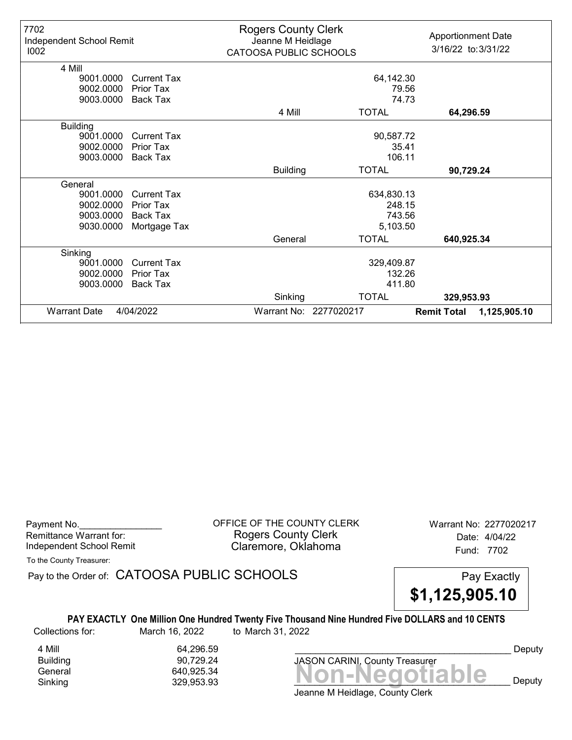| 7702<br>Independent School Remit<br>1002 |                    | <b>Rogers County Clerk</b><br>Jeanne M Heidlage<br>CATOOSA PUBLIC SCHOOLS |                        | <b>Apportionment Date</b><br>3/16/22 to: 3/31/22 |
|------------------------------------------|--------------------|---------------------------------------------------------------------------|------------------------|--------------------------------------------------|
| 4 Mill<br>9001.0000                      | <b>Current Tax</b> |                                                                           | 64,142.30              |                                                  |
| 9002.0000                                | Prior Tax          |                                                                           | 79.56                  |                                                  |
| 9003.0000                                | Back Tax           |                                                                           | 74.73                  |                                                  |
|                                          |                    | 4 Mill                                                                    | <b>TOTAL</b>           | 64,296.59                                        |
| <b>Building</b>                          |                    |                                                                           |                        |                                                  |
| 9001.0000                                | <b>Current Tax</b> | 90,587.72                                                                 |                        |                                                  |
| 9002.0000                                | Prior Tax          | 35.41                                                                     |                        |                                                  |
| 9003.0000                                | Back Tax           | 106.11                                                                    |                        |                                                  |
|                                          |                    | <b>Building</b>                                                           | <b>TOTAL</b>           | 90,729.24                                        |
| General                                  |                    |                                                                           |                        |                                                  |
| 9001.0000                                | <b>Current Tax</b> |                                                                           | 634,830.13             |                                                  |
| 9002.0000                                | Prior Tax          |                                                                           | 248.15                 |                                                  |
| 9003.0000                                | <b>Back Tax</b>    |                                                                           | 743.56                 |                                                  |
| 9030.0000                                | Mortgage Tax       |                                                                           | 5,103.50               |                                                  |
|                                          |                    | General                                                                   | <b>TOTAL</b>           | 640,925.34                                       |
| Sinking                                  |                    |                                                                           |                        |                                                  |
| 9001.0000                                | <b>Current Tax</b> | 329,409.87                                                                |                        |                                                  |
| 9002.0000                                | Prior Tax          |                                                                           | 132.26                 |                                                  |
| 9003.0000                                | <b>Back Tax</b>    |                                                                           | 411.80                 |                                                  |
|                                          |                    | Sinking                                                                   | <b>TOTAL</b>           | 329,953.93                                       |
| <b>Warrant Date</b>                      | 4/04/2022          |                                                                           | Warrant No: 2277020217 | <b>Remit Total</b><br>1,125,905.10               |

Payment No. 2277020217<br>
OFFICE OF THE COUNTY CLERK Warrant No: 2277020217 Rogers County Clerk Date: 4/04/22 Independent School Remit **Claremore, Oklahoma** Fund: 7702

To the County Treasurer:

Pay to the Order of: CATOOSA PUBLIC SCHOOLS Pay Exactly



PAY EXACTLY One Million One Hundred Twenty Five Thousand Nine Hundred Five DOLLARS and 10 CENTS Collections for: March 16, 2022 to March 31, 2022

4 Mill 64,296.59 Building 90,729.24

Banding<br>General 640,925.34<br>Sinking 329,953.93 **Non-Negotiable** Sinking  $329,953.93$   $329,953.93$   $329$ JASON CARINI, County Treasurer

Deputy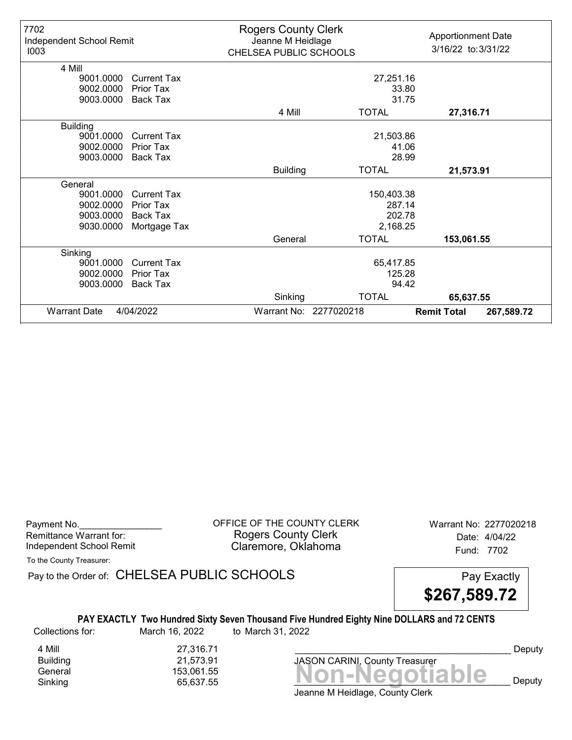| 7702<br>Independent School Remit<br>1003 |                    | <b>Rogers County Clerk</b><br>Jeanne M Heidlage<br>CHELSEA PUBLIC SCHOOLS |                        | <b>Apportionment Date</b><br>3/16/22 to: 3/31/22 |
|------------------------------------------|--------------------|---------------------------------------------------------------------------|------------------------|--------------------------------------------------|
| 4 Mill<br>9001.0000                      | Current Tax        |                                                                           | 27,251.16              |                                                  |
| 9002.0000                                | <b>Prior Tax</b>   |                                                                           | 33.80                  |                                                  |
| 9003.0000                                | Back Tax           |                                                                           | 31.75                  |                                                  |
|                                          |                    | 4 Mill                                                                    | <b>TOTAL</b>           |                                                  |
|                                          |                    |                                                                           |                        | 27,316.71                                        |
| <b>Building</b>                          |                    |                                                                           |                        |                                                  |
| 9001.0000                                | <b>Current Tax</b> | 21,503.86                                                                 |                        |                                                  |
| 9002.0000                                | <b>Prior Tax</b>   | 41.06                                                                     |                        |                                                  |
| 9003.0000                                | Back Tax           |                                                                           | 28.99                  |                                                  |
|                                          |                    | <b>Building</b>                                                           | <b>TOTAL</b>           | 21,573.91                                        |
| General                                  |                    |                                                                           |                        |                                                  |
| 9001.0000                                | <b>Current Tax</b> |                                                                           | 150,403.38             |                                                  |
| 9002.0000                                | <b>Prior Tax</b>   |                                                                           | 287.14                 |                                                  |
| 9003.0000                                | <b>Back Tax</b>    |                                                                           | 202.78                 |                                                  |
| 9030.0000                                | Mortgage Tax       |                                                                           | 2,168.25               |                                                  |
|                                          |                    | General                                                                   | <b>TOTAL</b>           | 153,061.55                                       |
| Sinking                                  |                    |                                                                           |                        |                                                  |
| 9001.0000                                | <b>Current Tax</b> | 65,417.85                                                                 |                        |                                                  |
| 9002.0000                                | <b>Prior Tax</b>   | 125.28                                                                    |                        |                                                  |
| 9003.0000                                | <b>Back Tax</b>    |                                                                           | 94.42                  |                                                  |
|                                          |                    | Sinking                                                                   | <b>TOTAL</b>           | 65,637.55                                        |
| <b>Warrant Date</b>                      | 4/04/2022          |                                                                           | Warrant No: 2277020218 | <b>Remit Total</b><br>267,589.72                 |

Payment No. 2277020218 CONDUCT OF THE COUNTY CLERK Warrant No: 2277020218 Rogers County Clerk Date: 4/04/22 Independent School Remit **Claremore, Oklahoma** Fund: 7702

To the County Treasurer:

Pay to the Order of: CHELSEA PUBLIC SCHOOLS Pay Exactly

\$267,589.72

#### PAY EXACTLY Two Hundred Sixty Seven Thousand Five Hundred Eighty Nine DOLLARS and 72 CENTS Collections for: March 16, 2022 to March 31, 2022

4 Mill 27,316.71<br>Building 21,573.91 Building 21,573.91<br>General 153.061.55

Ballaning<br>General 153,061.55<br>Sinking 65,637.55 **Non-Negotiable** Sinking 65,637.55 \_\_\_\_\_\_\_\_\_\_\_\_\_\_\_\_\_\_\_\_\_\_\_\_\_\_\_\_\_\_\_\_\_\_\_\_\_\_\_\_\_\_ Deputy

JASON CARINI, County Treasurer

Deputy

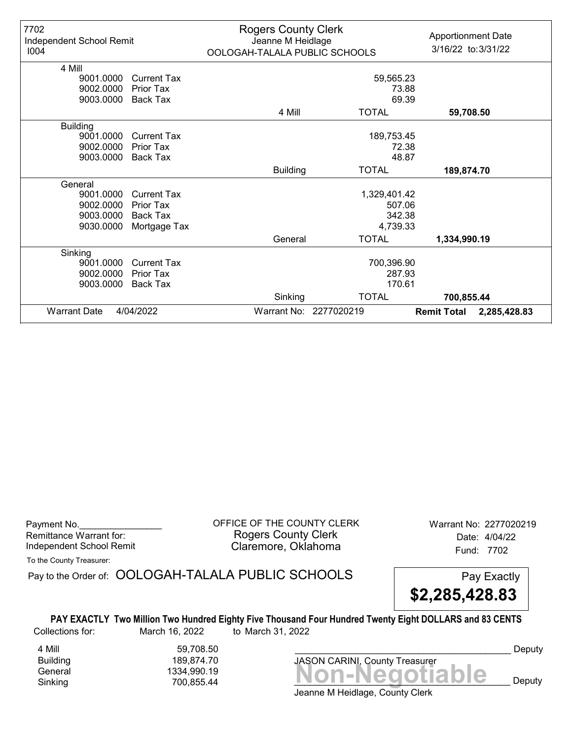| 7702                     |                    | <b>Rogers County Clerk</b>    |                        | <b>Apportionment Date</b>          |  |
|--------------------------|--------------------|-------------------------------|------------------------|------------------------------------|--|
| Independent School Remit |                    |                               | Jeanne M Heidlage      |                                    |  |
| 1004                     |                    | OOLOGAH-TALALA PUBLIC SCHOOLS |                        | 3/16/22 to: 3/31/22                |  |
| 4 Mill                   |                    |                               |                        |                                    |  |
| 9001.0000                | <b>Current Tax</b> |                               | 59,565.23              |                                    |  |
| 9002.0000                | Prior Tax          | 73.88                         |                        |                                    |  |
| 9003.0000                | Back Tax           |                               | 69.39                  |                                    |  |
|                          |                    | 4 Mill                        | <b>TOTAL</b>           | 59,708.50                          |  |
| <b>Building</b>          |                    |                               |                        |                                    |  |
| 9001.0000                | <b>Current Tax</b> | 189,753.45                    |                        |                                    |  |
| 9002.0000                | <b>Prior Tax</b>   |                               | 72.38                  |                                    |  |
| 9003.0000                | Back Tax           |                               | 48.87                  |                                    |  |
|                          |                    | <b>Building</b>               | <b>TOTAL</b>           | 189,874.70                         |  |
| General                  |                    |                               |                        |                                    |  |
| 9001.0000                | <b>Current Tax</b> |                               | 1,329,401.42           |                                    |  |
| 9002.0000                | Prior Tax          |                               | 507.06                 |                                    |  |
| 9003.0000                | Back Tax           |                               | 342.38                 |                                    |  |
| 9030.0000                | Mortgage Tax       |                               | 4,739.33               |                                    |  |
|                          |                    | General                       | <b>TOTAL</b>           | 1,334,990.19                       |  |
| Sinking                  |                    |                               |                        |                                    |  |
| 9001.0000                | <b>Current Tax</b> |                               | 700,396.90             |                                    |  |
| 9002.0000                | Prior Tax          | 287.93                        |                        |                                    |  |
| 9003.0000                | <b>Back Tax</b>    | 170.61                        |                        |                                    |  |
|                          |                    | Sinking                       | <b>TOTAL</b>           | 700,855.44                         |  |
| <b>Warrant Date</b>      | 4/04/2022          |                               | Warrant No: 2277020219 | <b>Remit Total</b><br>2,285,428.83 |  |

Payment No. \_\_\_\_\_\_\_\_\_\_\_\_\_\_\_\_\_\_\_\_\_\_\_\_\_\_\_\_\_\_\_\_OFFICE OF THE COUNTY CLERK Warrant No: 2277020219 Rogers County Clerk Date: 4/04/22 Independent School Remit **Claremore, Oklahoma** Fund: 7702

To the County Treasurer:

Pay to the Order of: OOLOGAH-TALALA PUBLIC SCHOOLS Pay Exactly



PAY EXACTLY Two Million Two Hundred Eighty Five Thousand Four Hundred Twenty Eight DOLLARS and 83 CENTS Collections for: March 16, 2022 to March 31, 2022

4 Mill 59,708.50 Building 189,874.70

General Non-Negotiable 1334,990.19 Sinking 700,855.44 \_\_\_\_\_\_\_\_\_\_\_\_\_\_\_\_\_\_\_\_\_\_\_\_\_\_\_\_\_\_\_\_\_\_\_\_\_\_\_\_\_\_ Deputy JASON CARINI, County Treasurer

Deputy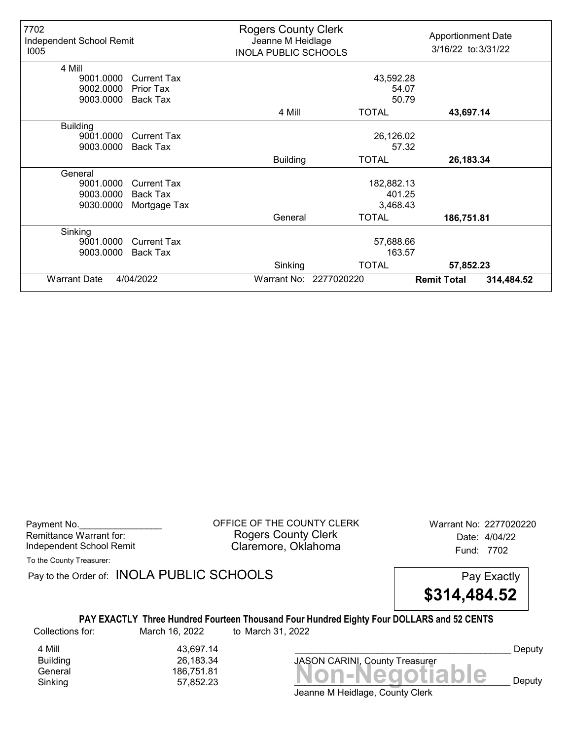| 7702<br>Independent School Remit<br>1005 |                    | <b>Rogers County Clerk</b><br>Jeanne M Heidlage<br><b>INOLA PUBLIC SCHOOLS</b> |                        | <b>Apportionment Date</b><br>3/16/22 to: 3/31/22 |            |
|------------------------------------------|--------------------|--------------------------------------------------------------------------------|------------------------|--------------------------------------------------|------------|
| 4 Mill                                   |                    |                                                                                |                        |                                                  |            |
| 9001.0000                                | <b>Current Tax</b> |                                                                                | 43,592.28              |                                                  |            |
| 9002.0000                                | Prior Tax          | 54.07                                                                          |                        |                                                  |            |
| 9003.0000                                | <b>Back Tax</b>    |                                                                                | 50.79                  |                                                  |            |
|                                          |                    | 4 Mill                                                                         | <b>TOTAL</b>           | 43,697.14                                        |            |
| <b>Building</b>                          |                    |                                                                                |                        |                                                  |            |
| 9001.0000                                | <b>Current Tax</b> | 26,126.02                                                                      |                        |                                                  |            |
| 9003.0000                                | <b>Back Tax</b>    |                                                                                | 57.32                  |                                                  |            |
|                                          |                    | <b>Building</b>                                                                | <b>TOTAL</b>           | 26,183.34                                        |            |
| General                                  |                    |                                                                                |                        |                                                  |            |
| 9001.0000                                | <b>Current Tax</b> |                                                                                | 182,882.13             |                                                  |            |
| 9003.0000                                | Back Tax           |                                                                                | 401.25                 |                                                  |            |
| 9030.0000                                | Mortgage Tax       |                                                                                | 3,468.43               |                                                  |            |
|                                          |                    | General                                                                        | <b>TOTAL</b>           | 186,751.81                                       |            |
| Sinking                                  |                    |                                                                                |                        |                                                  |            |
| 9001.0000                                | <b>Current Tax</b> | 57,688.66                                                                      |                        |                                                  |            |
| 9003.0000                                | <b>Back Tax</b>    |                                                                                | 163.57                 |                                                  |            |
|                                          |                    | Sinking                                                                        | <b>TOTAL</b>           | 57,852.23                                        |            |
| <b>Warrant Date</b>                      | 4/04/2022          |                                                                                | Warrant No: 2277020220 | <b>Remit Total</b>                               | 314,484.52 |

Payment No. 2277020220<br>
OFFICE OF THE COUNTY CLERK Warrant No: 2277020220 Rogers County Clerk Date: 4/04/22 Independent School Remit **Claremore, Oklahoma** Fund: 7702

To the County Treasurer:

Pay to the Order of: INOLA PUBLIC SCHOOLS Pay Exactly

\$314,484.52

PAY EXACTLY Three Hundred Fourteen Thousand Four Hundred Eighty Four DOLLARS and 52 CENTS Collections for: March 16, 2022 to March 31, 2022

4 Mill 43,697.14<br>Building 66,183.34 Building 26,183.34

Banding<br>General 186,751.81<br>Sinking 57,852.23 **Non-Negotiable** Sinking 57,852.23 \_\_\_\_\_\_\_\_\_\_\_\_\_\_\_\_\_\_\_\_\_\_\_\_\_\_\_\_\_\_\_\_\_\_\_\_\_\_\_\_\_\_ Deputy

Deputy

Jeanne M Heidlage, County Clerk

JASON CARINI, County Treasurer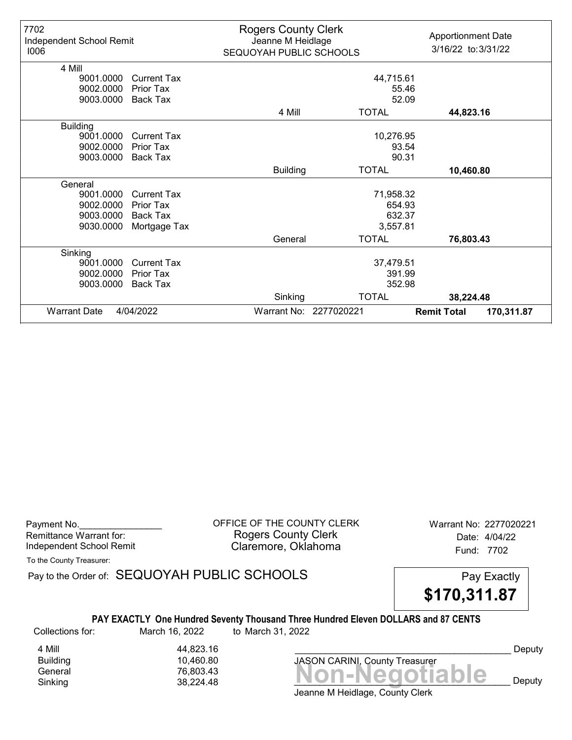| 7702<br>Independent School Remit<br>1006 |                    | <b>Rogers County Clerk</b><br>Jeanne M Heidlage<br>SEQUOYAH PUBLIC SCHOOLS |                        | <b>Apportionment Date</b><br>3/16/22 to: 3/31/22 |
|------------------------------------------|--------------------|----------------------------------------------------------------------------|------------------------|--------------------------------------------------|
| 4 Mill                                   |                    |                                                                            |                        |                                                  |
| 9001.0000                                | <b>Current Tax</b> | 44,715.61                                                                  |                        |                                                  |
| 9002.0000                                | <b>Prior Tax</b>   |                                                                            | 55.46                  |                                                  |
| 9003.0000                                | <b>Back Tax</b>    |                                                                            | 52.09                  |                                                  |
|                                          |                    | 4 Mill                                                                     | <b>TOTAL</b>           | 44,823.16                                        |
| <b>Building</b>                          |                    |                                                                            |                        |                                                  |
| 9001.0000                                | <b>Current Tax</b> | 10,276.95                                                                  |                        |                                                  |
| 9002.0000                                | <b>Prior Tax</b>   | 93.54                                                                      |                        |                                                  |
| 9003.0000                                | <b>Back Tax</b>    | 90.31                                                                      |                        |                                                  |
|                                          |                    | <b>Building</b>                                                            | <b>TOTAL</b>           | 10,460.80                                        |
| General                                  |                    |                                                                            |                        |                                                  |
| 9001.0000                                | <b>Current Tax</b> |                                                                            | 71,958.32              |                                                  |
| 9002.0000                                | Prior Tax          |                                                                            | 654.93                 |                                                  |
| 9003.0000                                | <b>Back Tax</b>    |                                                                            | 632.37                 |                                                  |
| 9030.0000                                | Mortgage Tax       |                                                                            | 3,557.81               |                                                  |
|                                          |                    | General                                                                    | <b>TOTAL</b>           | 76,803.43                                        |
| Sinking                                  |                    |                                                                            |                        |                                                  |
| 9001.0000                                | <b>Current Tax</b> | 37,479.51                                                                  |                        |                                                  |
| 9002.0000                                | Prior Tax          | 391.99                                                                     |                        |                                                  |
| 9003.0000                                | <b>Back Tax</b>    | 352.98                                                                     |                        |                                                  |
|                                          |                    | Sinking                                                                    | <b>TOTAL</b>           | 38,224.48                                        |
| <b>Warrant Date</b>                      | 4/04/2022          |                                                                            | Warrant No: 2277020221 | <b>Remit Total</b><br>170,311.87                 |

Payment No. 2277020221 CORPICE OF THE COUNTY CLERK Warrant No: 2277020221 Rogers County Clerk Date: 4/04/22 Independent School Remit **Claremore, Oklahoma** Fund: 7702

To the County Treasurer:

Pay to the Order of: SEQUOYAH PUBLIC SCHOOLS Pay Exactly



### PAY EXACTLY One Hundred Seventy Thousand Three Hundred Eleven DOLLARS and 87 CENTS

Collections for: March 16, 2022 to March 31, 2022

4 Mill 44,823.16 10,460.80

Banding<br>General 76,803.43<br>Sinking 38,224.48 **Non-Negotiable** Sinking  $38,224.48$   $38,224.48$   $38$ JASON CARINI, County Treasurer

Deputy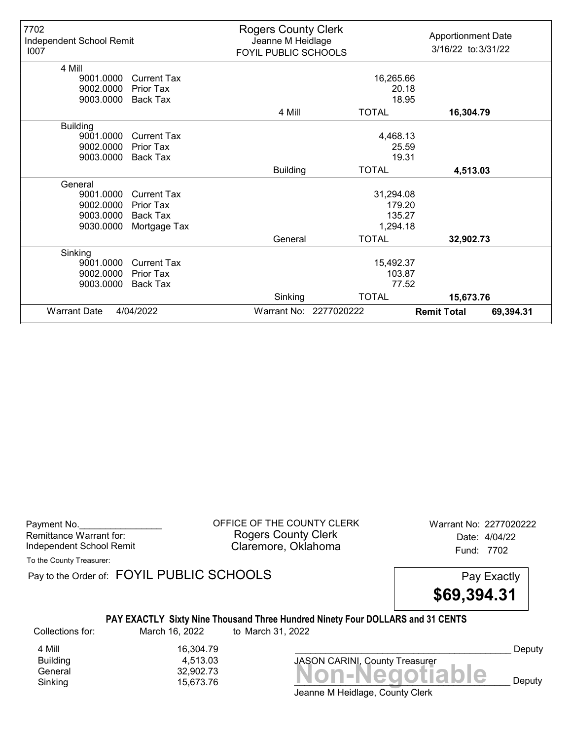| 7702<br>Independent School Remit<br>1007 |                       | <b>Rogers County Clerk</b><br>Jeanne M Heidlage<br>FOYIL PUBLIC SCHOOLS |                        | <b>Apportionment Date</b><br>3/16/22 to: 3/31/22 |
|------------------------------------------|-----------------------|-------------------------------------------------------------------------|------------------------|--------------------------------------------------|
| 4 Mill                                   |                       |                                                                         |                        |                                                  |
| 9001.0000                                | Current Tax           |                                                                         | 16,265.66              |                                                  |
| 9002.0000<br>9003.0000                   | Prior Tax<br>Back Tax |                                                                         | 20.18<br>18.95         |                                                  |
|                                          |                       |                                                                         |                        |                                                  |
|                                          |                       | 4 Mill                                                                  | <b>TOTAL</b>           | 16,304.79                                        |
| <b>Building</b>                          |                       |                                                                         |                        |                                                  |
| 9001.0000                                | <b>Current Tax</b>    |                                                                         | 4,468.13               |                                                  |
| 9002.0000                                | <b>Prior Tax</b>      | 25.59                                                                   |                        |                                                  |
| 9003.0000                                | Back Tax              |                                                                         | 19.31                  |                                                  |
|                                          |                       | <b>Building</b>                                                         | <b>TOTAL</b>           | 4,513.03                                         |
| General                                  |                       |                                                                         |                        |                                                  |
| 9001.0000                                | <b>Current Tax</b>    |                                                                         | 31,294.08              |                                                  |
| 9002.0000                                | Prior Tax             |                                                                         | 179.20                 |                                                  |
| 9003.0000                                | <b>Back Tax</b>       |                                                                         | 135.27                 |                                                  |
| 9030.0000                                | Mortgage Tax          |                                                                         | 1,294.18               |                                                  |
|                                          |                       | General                                                                 | <b>TOTAL</b>           | 32,902.73                                        |
| Sinking                                  |                       |                                                                         |                        |                                                  |
| 9001.0000                                | <b>Current Tax</b>    |                                                                         | 15,492.37              |                                                  |
| 9002.0000                                | Prior Tax             | 103.87                                                                  |                        |                                                  |
| 9003.0000                                | <b>Back Tax</b>       |                                                                         | 77.52                  |                                                  |
|                                          |                       | Sinking                                                                 | <b>TOTAL</b>           | 15,673.76                                        |
| <b>Warrant Date</b>                      | 4/04/2022             |                                                                         | Warrant No: 2277020222 | <b>Remit Total</b><br>69,394.31                  |

Payment No. 2277020222 COFFICE OF THE COUNTY CLERK Warrant No: 2277020222 Rogers County Clerk Date: 4/04/22 Independent School Remit **Claremore, Oklahoma** Fund: 7702

To the County Treasurer:

Pay to the Order of: FOYIL PUBLIC SCHOOLS Pay Exactly

\$69,394.31

### PAY EXACTLY Sixty Nine Thousand Three Hundred Ninety Four DOLLARS and 31 CENTS

Collections for: March 16, 2022 to March 31, 2022

4 Mill 16,304.79<br>Building 1513.03 Building 4,513.03

Banding<br>General 32,902.73<br>Sinking 15,673.76 **Non-Negotiable** Sinking 15,673.76  $\blacksquare$  15,673.76  $\blacksquare$ 

JASON CARINI, County Treasurer

Deputy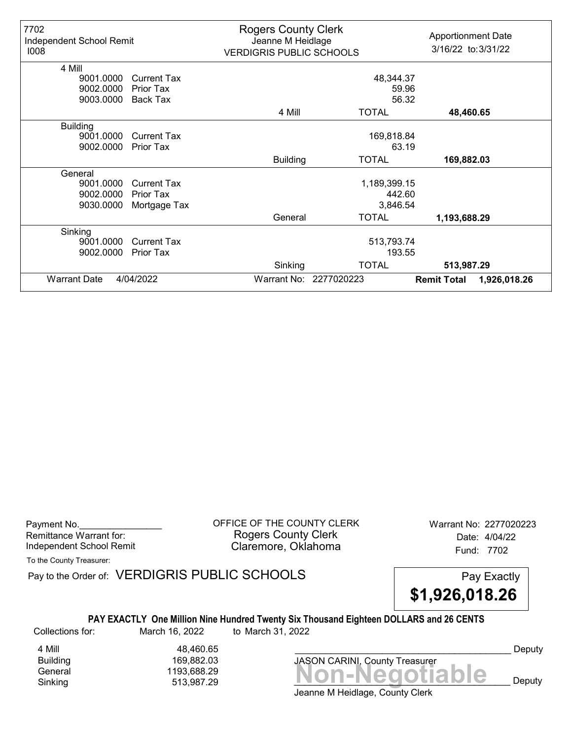| 7702<br>Independent School Remit<br>1008 |                    | <b>Rogers County Clerk</b><br>Jeanne M Heidlage<br><b>VERDIGRIS PUBLIC SCHOOLS</b> |                        | <b>Apportionment Date</b><br>3/16/22 to: 3/31/22 |  |
|------------------------------------------|--------------------|------------------------------------------------------------------------------------|------------------------|--------------------------------------------------|--|
| 4 Mill                                   |                    |                                                                                    |                        |                                                  |  |
| 9001.0000                                | <b>Current Tax</b> | 48,344.37                                                                          |                        |                                                  |  |
| 9002.0000                                | Prior Tax          |                                                                                    | 59.96                  |                                                  |  |
| 9003.0000                                | Back Tax           | 56.32                                                                              |                        |                                                  |  |
|                                          |                    | 4 Mill                                                                             | <b>TOTAL</b>           | 48,460.65                                        |  |
| <b>Building</b>                          |                    |                                                                                    |                        |                                                  |  |
| 9001.0000                                | <b>Current Tax</b> | 169,818.84                                                                         |                        |                                                  |  |
| 9002.0000                                | Prior Tax          |                                                                                    | 63.19                  |                                                  |  |
|                                          |                    | <b>Building</b>                                                                    | <b>TOTAL</b>           | 169,882.03                                       |  |
| General                                  |                    |                                                                                    |                        |                                                  |  |
| 9001.0000                                | <b>Current Tax</b> |                                                                                    | 1,189,399.15           |                                                  |  |
| 9002.0000                                | <b>Prior Tax</b>   |                                                                                    | 442.60                 |                                                  |  |
| 9030.0000                                | Mortgage Tax       |                                                                                    | 3,846.54               |                                                  |  |
|                                          |                    | General                                                                            | <b>TOTAL</b>           | 1,193,688.29                                     |  |
| Sinking                                  |                    |                                                                                    |                        |                                                  |  |
| 9001.0000                                | Current Tax        |                                                                                    | 513,793.74             |                                                  |  |
| 9002.0000                                | Prior Tax          |                                                                                    | 193.55                 |                                                  |  |
|                                          |                    | Sinking                                                                            | <b>TOTAL</b>           | 513,987.29                                       |  |
| <b>Warrant Date</b>                      | 4/04/2022          |                                                                                    | Warrant No: 2277020223 | <b>Remit Total</b><br>1,926,018.26               |  |

Payment No. 2277020223 COFFICE OF THE COUNTY CLERK Warrant No: 2277020223 Rogers County Clerk Date: 4/04/22 Independent School Remit **Claremore, Oklahoma** Fund: 7702

To the County Treasurer:

Pay to the Order of: VERDIGRIS PUBLIC SCHOOLS Pay Exactly



### PAY EXACTLY One Million Nine Hundred Twenty Six Thousand Eighteen DOLLARS and 26 CENTS

Collections for: March 16, 2022 to March 31, 2022

4 Mill 48,460.65 Building 169,882.03

Jeanne M Heidlage, County Clerk General 1193,688.29<br>General 1193,688.29 **Non-Negotiable** Sinking  $513,987.29$   $513,987.29$   $513$ 

JASON CARINI, County Treasurer

Deputy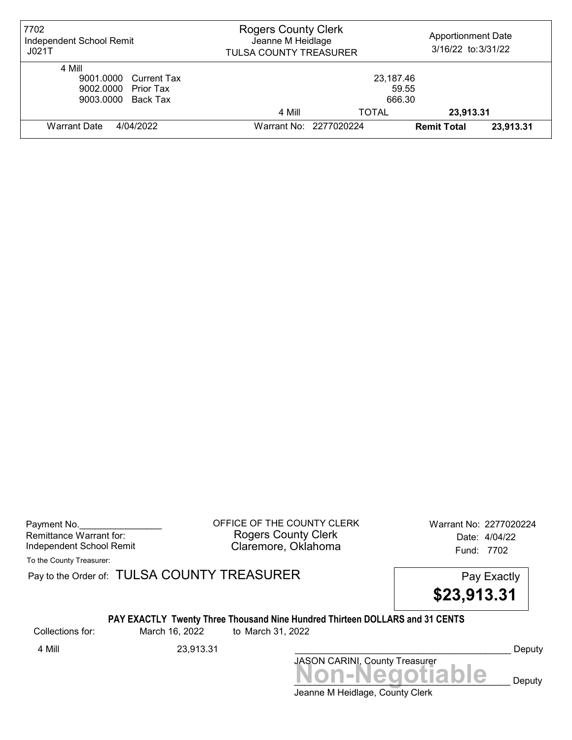| 7702<br>Independent School Remit<br>JO21T                                    | <b>Rogers County Clerk</b><br>Jeanne M Heidlage<br>TULSA COUNTY TREASURER |       | <b>Apportionment Date</b><br>3/16/22 to: 3/31/22 |           |
|------------------------------------------------------------------------------|---------------------------------------------------------------------------|-------|--------------------------------------------------|-----------|
| 4 Mill<br>9001.0000 Current Tax<br>9002.0000 Prior Tax<br>9003.0000 Back Tax | 23,187.46<br>59.55<br>666.30                                              |       |                                                  |           |
|                                                                              | 4 Mill                                                                    | TOTAL | 23,913.31                                        |           |
| Warrant Date<br>4/04/2022                                                    | Warrant No: 2277020224                                                    |       | <b>Remit Total</b>                               | 23,913.31 |

Payment No. 2277020224 CORPICE OF THE COUNTY CLERK Warrant No: 2277020224 Rogers County Clerk Date: 4/04/22 Independent School Remit **Claremore, Oklahoma** Fund: 7702

To the County Treasurer:

Pay to the Order of: TULSA COUNTY TREASURER Pay to the Order of: TULSA COUNTY TREASURER

\$23,913.31

### PAY EXACTLY Twenty Three Thousand Nine Hundred Thirteen DOLLARS and 31 CENTS

Collections for: March 16, 2022 to March 31, 2022

4 Mill 23,913.31 Deputy

Jeanne M Heidlage, County Clerk Non-Negotiable Deputy JASON CARINI, County Treasurer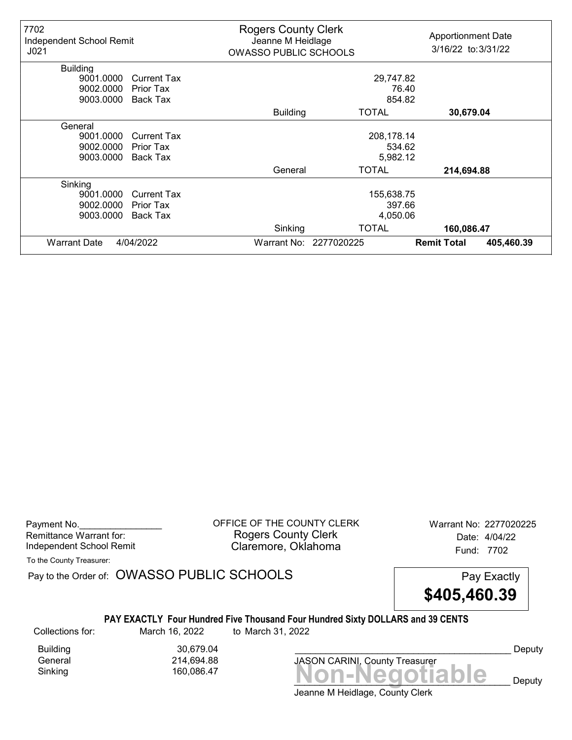| 7702<br>Independent School Remit<br>J <sub>021</sub> |                    | <b>Rogers County Clerk</b><br>Jeanne M Heidlage<br><b>OWASSO PUBLIC SCHOOLS</b> |                        | <b>Apportionment Date</b><br>3/16/22 to: 3/31/22 |
|------------------------------------------------------|--------------------|---------------------------------------------------------------------------------|------------------------|--------------------------------------------------|
| <b>Building</b>                                      |                    |                                                                                 |                        |                                                  |
| 9001.0000                                            | <b>Current Tax</b> | 29,747.82                                                                       |                        |                                                  |
| 9002.0000                                            | Prior Tax          |                                                                                 |                        | 76.40                                            |
| 9003.0000                                            | Back Tax           | 854.82                                                                          |                        |                                                  |
|                                                      |                    | <b>Building</b>                                                                 | TOTAL                  | 30,679.04                                        |
| General                                              |                    |                                                                                 |                        |                                                  |
| 9001.0000                                            | <b>Current Tax</b> | 208,178.14                                                                      |                        |                                                  |
| 9002.0000                                            | Prior Tax          |                                                                                 | 534.62                 |                                                  |
| 9003.0000                                            | <b>Back Tax</b>    |                                                                                 | 5,982.12               |                                                  |
|                                                      |                    | General                                                                         | TOTAL                  | 214,694.88                                       |
| Sinking                                              |                    |                                                                                 |                        |                                                  |
| 9001.0000                                            | <b>Current Tax</b> |                                                                                 | 155,638.75             |                                                  |
| 9002.0000                                            | Prior Tax          |                                                                                 | 397.66                 |                                                  |
| 9003.0000                                            | <b>Back Tax</b>    |                                                                                 | 4,050.06               |                                                  |
|                                                      |                    | Sinking                                                                         | <b>TOTAL</b>           | 160,086.47                                       |
| <b>Warrant Date</b>                                  | 4/04/2022          |                                                                                 | Warrant No: 2277020225 | <b>Remit Total</b><br>405,460.39                 |

Payment No. 2277020225 CORPICE OF THE COUNTY CLERK Warrant No: 2277020225 Rogers County Clerk Date: 4/04/22 Independent School Remit **Claremore, Oklahoma** Fund: 7702

To the County Treasurer:

Pay to the Order of: OWASSO PUBLIC SCHOOLS Pay Exactly



### PAY EXACTLY Four Hundred Five Thousand Four Hundred Sixty DOLLARS and 39 CENTS

Collections for: March 16, 2022 to March 31, 2022

Building 30,679.04<br>General 214,694.88 General 214,694.88

Sinking 160,086.47 **Non-Negotiable** JASON CARINI, County Treasurer

Deputy

 $\mathbf{e}_{\text{p}}$  Deputy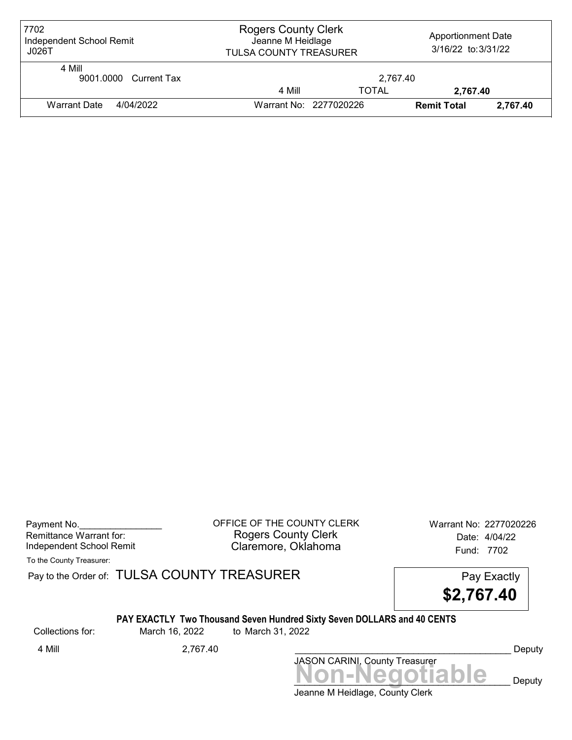| 7702<br>Independent School Remit<br>J026T | <b>Rogers County Clerk</b><br><b>Apportionment Date</b><br>Jeanne M Heidlage<br>3/16/22 to: 3/31/22<br><b>TULSA COUNTY TREASURER</b> |              |                    |          |
|-------------------------------------------|--------------------------------------------------------------------------------------------------------------------------------------|--------------|--------------------|----------|
| 4 Mill<br>9001.0000 Current Tax           |                                                                                                                                      | 2.767.40     |                    |          |
|                                           | 4 Mill                                                                                                                               | <b>TOTAL</b> | 2.767.40           |          |
| <b>Warrant Date</b><br>4/04/2022          | Warrant No: 2277020226                                                                                                               |              | <b>Remit Total</b> | 2.767.40 |

| Payment No.              |  |
|--------------------------|--|
| Remittance Warrant for:  |  |
| Independent School Remit |  |

OFFICE OF THE COUNTY CLERK Warrant No: 2277020226 Rogers County Clerk Date: 4/04/22 Claremore, Oklahoma<br>
Fund: 7702

To the County Treasurer:

Pay to the Order of: TULSA COUNTY TREASURER Pay to the Order of: TULSA COUNTY TREASURER

\$2,767.40

### PAY EXACTLY Two Thousand Seven Hundred Sixty Seven DOLLARS and 40 CENTS

Collections for: March 16, 2022 to March 31, 2022

4 Mill 2,767.40 Deputy

Jeanne M Heidlage, County Clerk Non-Negotiable Deputy JASON CARINI, County Treasurer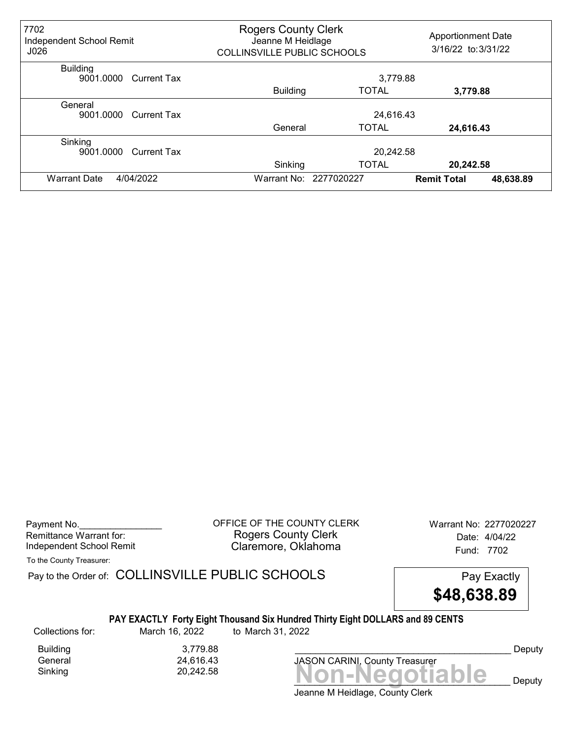| 7702<br>Independent School Remit<br>J026    | <b>Rogers County Clerk</b><br>Jeanne M Heidlage<br><b>COLLINSVILLE PUBLIC SCHOOLS</b> | <b>Apportionment Date</b><br>3/16/22 to: 3/31/22 |                                 |  |
|---------------------------------------------|---------------------------------------------------------------------------------------|--------------------------------------------------|---------------------------------|--|
| <b>Building</b><br>9001.0000<br>Current Tax |                                                                                       | 3,779.88                                         |                                 |  |
|                                             | <b>Building</b>                                                                       | <b>TOTAL</b>                                     | 3,779.88                        |  |
| General<br>9001.0000<br>Current Tax         | 24,616.43                                                                             |                                                  |                                 |  |
|                                             | General                                                                               | <b>TOTAL</b>                                     | 24,616.43                       |  |
| Sinking<br>9001.0000<br><b>Current Tax</b>  |                                                                                       | 20,242.58                                        |                                 |  |
|                                             | Sinking                                                                               | <b>TOTAL</b>                                     | 20,242.58                       |  |
| 4/04/2022<br><b>Warrant Date</b>            |                                                                                       | Warrant No: 2277020227                           | 48,638.89<br><b>Remit Total</b> |  |

Payment No. 2277020227<br>
OFFICE OF THE COUNTY CLERK Warrant No: 2277020227 Rogers County Clerk Date: 4/04/22 Independent School Remit **Claremore, Oklahoma** Fund: 7702

To the County Treasurer:

Pay to the Order of: COLLINSVILLE PUBLIC SCHOOLS Pay Exactly



### PAY EXACTLY Forty Eight Thousand Six Hundred Thirty Eight DOLLARS and 89 CENTS

Collections for: March 16, 2022 to March 31, 2022

Building 3,779.88<br>General 24,616.43 24,616.43

Sinking Non-Negotiable 20,242.58

JASON CARINI, County Treasurer

Deputy

 $\mathbf{e}$  Deputy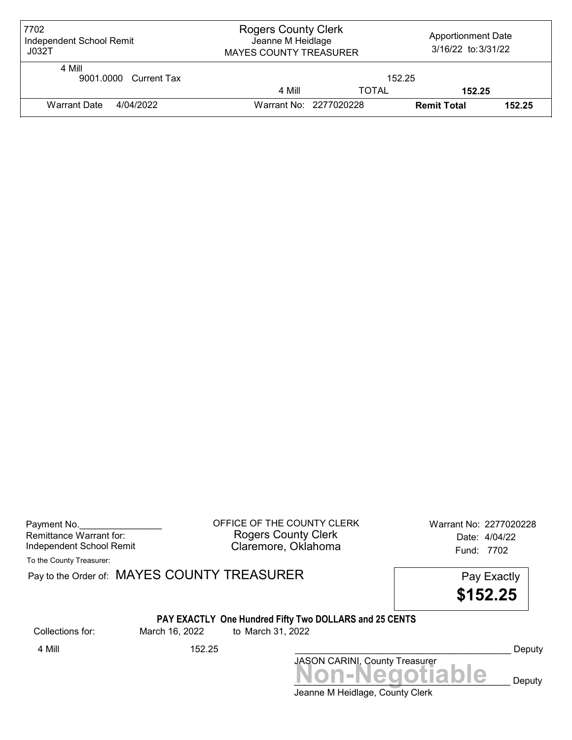| 7702<br>Independent School Remit<br>J032T | <b>Rogers County Clerk</b><br><b>Apportionment Date</b><br>Jeanne M Heidlage<br>3/16/22 to: 3/31/22<br><b>MAYES COUNTY TREASURER</b> |              |                    |        |
|-------------------------------------------|--------------------------------------------------------------------------------------------------------------------------------------|--------------|--------------------|--------|
| 4 Mill<br>9001.0000 Current Tax           | 152.25                                                                                                                               |              |                    |        |
|                                           | 4 Mill                                                                                                                               | <b>TOTAL</b> | 152.25             |        |
| Warrant Date<br>4/04/2022                 | Warrant No: 2277020228                                                                                                               |              | <b>Remit Total</b> | 152.25 |

| Payment No.              |  |
|--------------------------|--|
| Remittance Warrant for:  |  |
| Independent School Remit |  |

OFFICE OF THE COUNTY CLERK Warrant No: 2277020228 Rogers County Clerk Date: 4/04/22 Claremore, Oklahoma<br>
Fund: 7702

To the County Treasurer:

Pay to the Order of: MAYES COUNTY TREASURER Pay to the Order of: MAYES COUNTY TREASURER

\$152.25

## PAY EXACTLY One Hundred Fifty Two DOLLARS and 25 CENTS

Collections for: March 16, 2022 to March 31, 2022

JASON CARINI, County Treasurer<br>
MON-Negotiable Deputy 4 Mill 152.25 \_\_\_\_\_\_\_\_\_\_\_\_\_\_\_\_\_\_\_\_\_\_\_\_\_\_\_\_\_\_\_\_\_\_\_\_\_\_\_\_\_\_ Deputy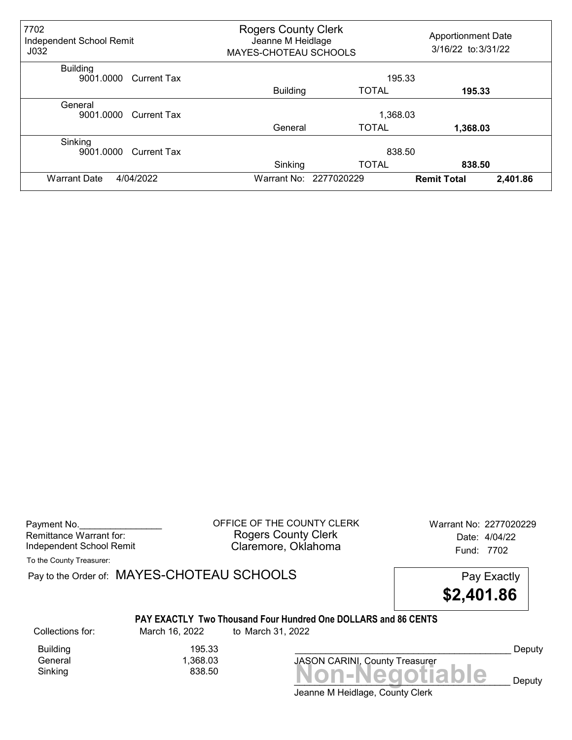| 7702<br>Independent School Remit<br>J <sub>032</sub> |                    | <b>Rogers County Clerk</b><br><b>Apportionment Date</b><br>Jeanne M Heidlage<br>3/16/22 to: 3/31/22<br>MAYES-CHOTEAU SCHOOLS |                        |                    |          |
|------------------------------------------------------|--------------------|------------------------------------------------------------------------------------------------------------------------------|------------------------|--------------------|----------|
| <b>Building</b><br>9001.0000 Current Tax             |                    |                                                                                                                              |                        | 195.33             |          |
|                                                      |                    | <b>Building</b>                                                                                                              | <b>TOTAL</b>           | 195.33             |          |
| General<br>9001.0000                                 | Current Tax        | 1,368.03                                                                                                                     |                        |                    |          |
|                                                      |                    | General                                                                                                                      | <b>TOTAL</b>           | 1,368.03           |          |
| Sinking<br>9001.0000                                 | <b>Current Tax</b> |                                                                                                                              | 838.50                 |                    |          |
|                                                      |                    | Sinking                                                                                                                      | <b>TOTAL</b>           | 838.50             |          |
| 4/04/2022<br><b>Warrant Date</b>                     |                    |                                                                                                                              | Warrant No: 2277020229 | <b>Remit Total</b> | 2,401.86 |

Payment No. 2277020229 COFFICE OF THE COUNTY CLERK Warrant No: 2277020229 Rogers County Clerk Date: 4/04/22 Independent School Remit **Claremore, Oklahoma** Fund: 7702

To the County Treasurer:

Pay to the Order of: MAYES-CHOTEAU SCHOOLS Pay Exactly

\$2,401.86

#### PAY EXACTLY Two Thousand Four Hundred One DOLLARS and 86 CENTS

Building 195.33 1,368.03

Collections for: March 16, 2022 to March 31, 2022

 $Sinking$ <br> $Sinking$   $838.50$   $$ JASON CARINI, County Treasurer

 $\mathbf{e}_{\text{p}}$  Deputy

Deputy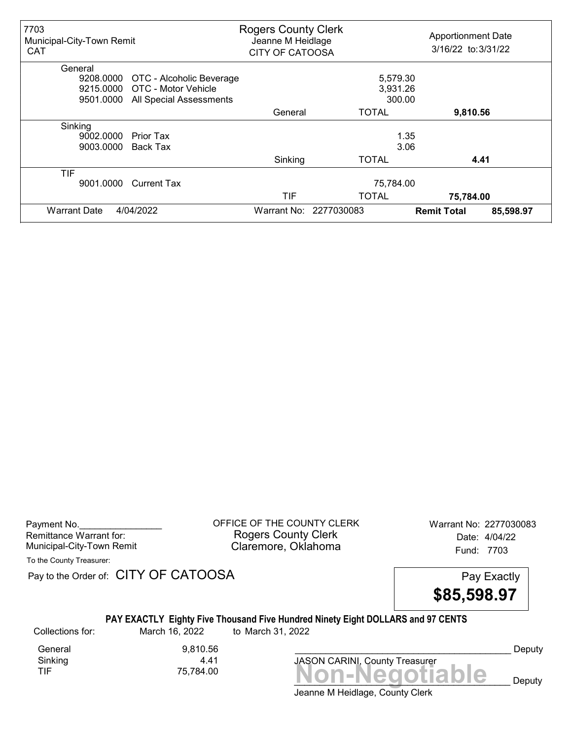| 7703<br>Municipal-City-Town Remit<br><b>CAT</b> |                          | <b>Rogers County Clerk</b><br>Jeanne M Heidlage<br><b>CITY OF CATOOSA</b> |                        | <b>Apportionment Date</b><br>3/16/22 to: 3/31/22 |           |
|-------------------------------------------------|--------------------------|---------------------------------------------------------------------------|------------------------|--------------------------------------------------|-----------|
| General                                         |                          |                                                                           |                        |                                                  |           |
| 9208.0000                                       | OTC - Alcoholic Beverage |                                                                           | 5,579.30               |                                                  |           |
| 9215.0000                                       | OTC - Motor Vehicle      |                                                                           | 3,931.26               |                                                  |           |
| 9501.0000                                       | All Special Assessments  |                                                                           | 300.00                 |                                                  |           |
|                                                 |                          | General                                                                   | <b>TOTAL</b>           | 9,810.56                                         |           |
| Sinking                                         |                          |                                                                           |                        |                                                  |           |
| 9002.0000                                       | Prior Tax                |                                                                           |                        | 1.35                                             |           |
| 9003.0000                                       | <b>Back Tax</b>          |                                                                           | 3.06                   |                                                  |           |
|                                                 |                          | Sinking                                                                   | <b>TOTAL</b>           |                                                  | 4.41      |
| TIF                                             |                          |                                                                           |                        |                                                  |           |
| 9001.0000                                       | <b>Current Tax</b>       |                                                                           | 75,784.00              |                                                  |           |
|                                                 |                          | TIF                                                                       | <b>TOTAL</b>           | 75,784.00                                        |           |
| <b>Warrant Date</b>                             | 4/04/2022                |                                                                           | Warrant No: 2277030083 | <b>Remit Total</b>                               | 85,598.97 |

Payment No. 2277030083 COFFICE OF THE COUNTY CLERK Warrant No: 2277030083 Rogers County Clerk Date: 4/04/22 Municipal-City-Town Remit **Example 20** Claremore, Oklahoma

To the County Treasurer:

Pay to the Order of: CITY OF CATOOSA Pay Exactly



### PAY EXACTLY Eighty Five Thousand Five Hundred Ninety Eight DOLLARS and 97 CENTS

Collections for: March 16, 2022 to March 31, 2022

Sinking<br>TIF

General 9,810.56<br>Sinking 4.41



Deputy

Deputy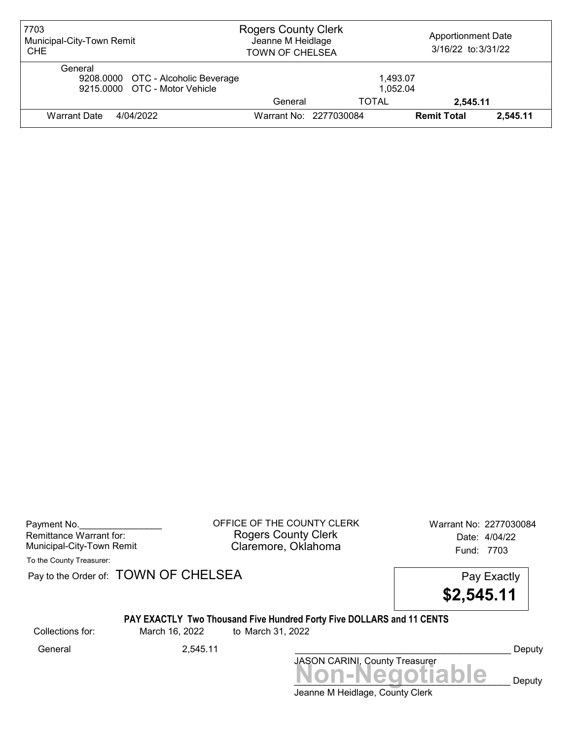| 7703<br>Municipal-City-Town Remit<br><b>CHE</b>                                | <b>Rogers County Clerk</b><br>Jeanne M Heidlage<br><b>TOWN OF CHELSEA</b> |                        | <b>Apportionment Date</b><br>3/16/22 to: 3/31/22 |          |
|--------------------------------------------------------------------------------|---------------------------------------------------------------------------|------------------------|--------------------------------------------------|----------|
| General<br>9208.0000 OTC - Alcoholic Beverage<br>9215,0000 OTC - Motor Vehicle |                                                                           | 1.493.07<br>1.052.04   |                                                  |          |
|                                                                                | General                                                                   | TOTAL                  | 2.545.11                                         |          |
| Warrant Date<br>4/04/2022                                                      |                                                                           | Warrant No: 2277030084 | <b>Remit Total</b>                               | 2.545.11 |

Payment No. 2277030084 Rogers County Clerk Date: 4/04/22 Municipal-City-Town Remit **Example 20** Claremore, Oklahoma **Example 20 Fund: 7703** 

To the County Treasurer:

Pay to the Order of: TOWN OF CHELSEA Pay to the Order of: TOWN OF CHELSEA

\$2,545.11

### PAY EXACTLY Two Thousand Five Hundred Forty Five DOLLARS and 11 CENTS

Collections for: March 16, 2022 to March 31, 2022

Jeanne M Heidlage, County Clerk Non-Negotiable Deputy JASON CARINI, County Treasurer General 2,545.11 2,545.11 Ceneral Deputy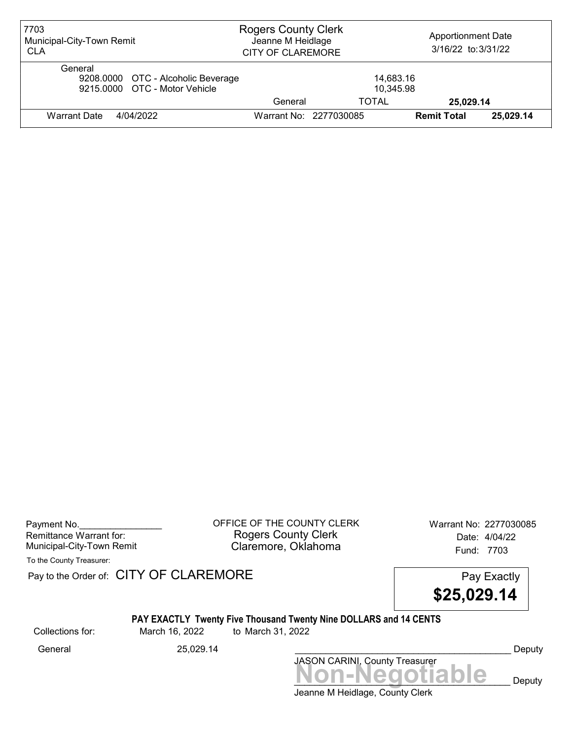| 7703<br>Municipal-City-Town Remit<br><b>CLA</b>                                | <b>Rogers County Clerk</b><br>Jeanne M Heidlage<br><b>CITY OF CLAREMORE</b> |                        | <b>Apportionment Date</b><br>3/16/22 to: 3/31/22 |           |
|--------------------------------------------------------------------------------|-----------------------------------------------------------------------------|------------------------|--------------------------------------------------|-----------|
| General<br>9208.0000 OTC - Alcoholic Beverage<br>9215,0000 OTC - Motor Vehicle |                                                                             | 14,683.16<br>10,345.98 |                                                  |           |
|                                                                                | General                                                                     | TOTAL                  | 25,029.14                                        |           |
| <b>Warrant Date</b><br>4/04/2022                                               |                                                                             | Warrant No: 2277030085 | <b>Remit Total</b>                               | 25,029.14 |

Payment No. 2277030085 CONSIDERT OF THE COUNTY CLERK Warrant No: 2277030085 Rogers County Clerk Date: 4/04/22 Municipal-City-Town Remit **Example 20** Claremore, Oklahoma **Example 20 Fund: 7703** 

To the County Treasurer:

Pay to the Order of: CITY OF CLAREMORE Pay to the Order of: CITY OF CLAREMORE



# PAY EXACTLY Twenty Five Thousand Twenty Nine DOLLARS and 14 CENTS

Collections for: March 16, 2022 to March 31, 2022

Non-Negotiable Deputy JASON CARINI, County Treasurer General 25,029.14 25,029.14 Ceneral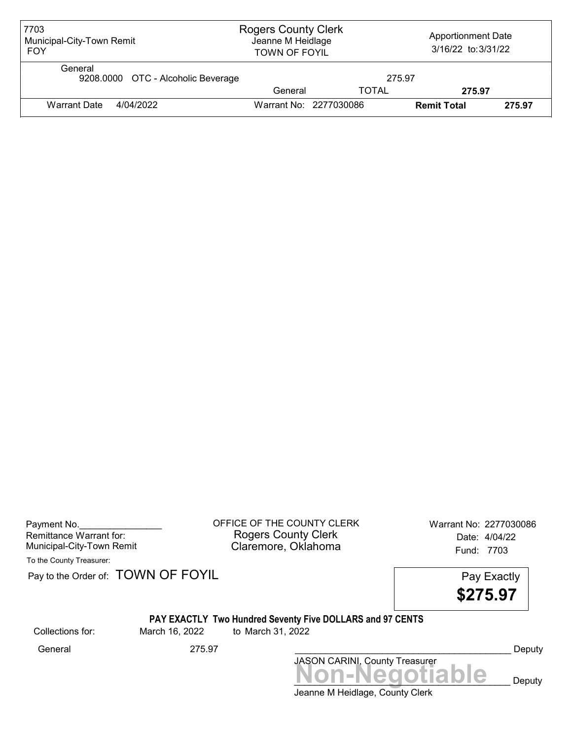| 7703<br>Municipal-City-Town Remit<br><b>FOY</b> |                        | <b>Rogers County Clerk</b><br><b>Apportionment Date</b><br>Jeanne M Heidlage<br>3/16/22 to: 3/31/22<br><b>TOWN OF FOYIL</b> |                    |        |
|-------------------------------------------------|------------------------|-----------------------------------------------------------------------------------------------------------------------------|--------------------|--------|
| General<br>9208.0000 OTC - Alcoholic Beverage   |                        | 275.97                                                                                                                      |                    |        |
|                                                 | General                | <b>TOTAL</b>                                                                                                                | 275.97             |        |
| 4/04/2022<br><b>Warrant Date</b>                | Warrant No: 2277030086 |                                                                                                                             | <b>Remit Total</b> | 275.97 |

| Payment No.               |  |
|---------------------------|--|
| Remittance Warrant for:   |  |
| Municipal-City-Town Remit |  |

OFFICE OF THE COUNTY CLERK Warrant No: 2277030086 Rogers County Clerk Date: 4/04/22 Claremore, Oklahoma<br>Fund: 7703

To the County Treasurer:

Pay to the Order of: TOWN OF FOYIL Pay Exactly

\$275.97

## PAY EXACTLY Two Hundred Seventy Five DOLLARS and 97 CENTS

Collections for: March 16, 2022 to March 31, 2022

Jeanne M Heidlage, County Clerk JASON CARINI, County Treasurer<br>
MON-Negotiable Deputy General 275.97 275.97 Ceneral Deputy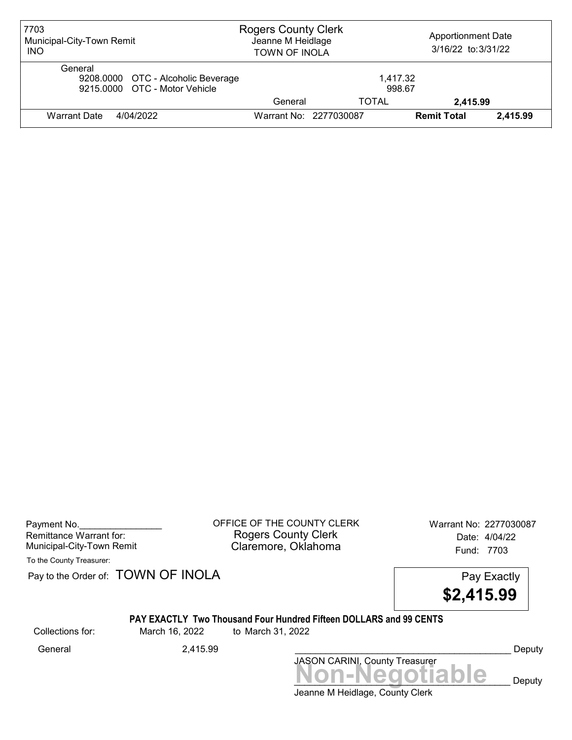| 7703<br>Municipal-City-Town Remit<br><b>INO</b>                                | <b>Rogers County Clerk</b><br>Jeanne M Heidlage<br><b>TOWN OF INOLA</b> |                        | <b>Apportionment Date</b><br>3/16/22 to: 3/31/22 |          |
|--------------------------------------------------------------------------------|-------------------------------------------------------------------------|------------------------|--------------------------------------------------|----------|
| General<br>9208.0000 OTC - Alcoholic Beverage<br>9215.0000 OTC - Motor Vehicle |                                                                         | 1,417.32<br>998.67     |                                                  |          |
|                                                                                | General                                                                 | TOTAL                  | 2,415.99                                         |          |
| 4/04/2022<br>Warrant Date                                                      |                                                                         | Warrant No: 2277030087 | <b>Remit Total</b>                               | 2,415.99 |

Payment No. 2277030087 Rogers County Clerk Date: 4/04/22 Municipal-City-Town Remit **Example 2018** Claremore, Oklahoma **Example 2018** Fund: 7703

To the County Treasurer:

Pay to the Order of: TOWN OF INOLA Pay Exactly



#### PAY EXACTLY Two Thousand Four Hundred Fifteen DOLLARS and 99 CENTS

Collections for: March 16, 2022 to March 31, 2022

Non-Negotiable Deputy JASON CARINI, County Treasurer General 2,415.99 \_\_\_\_\_\_\_\_\_\_\_\_\_\_\_\_\_\_\_\_\_\_\_\_\_\_\_\_\_\_\_\_\_\_\_\_\_\_\_\_\_\_ Deputy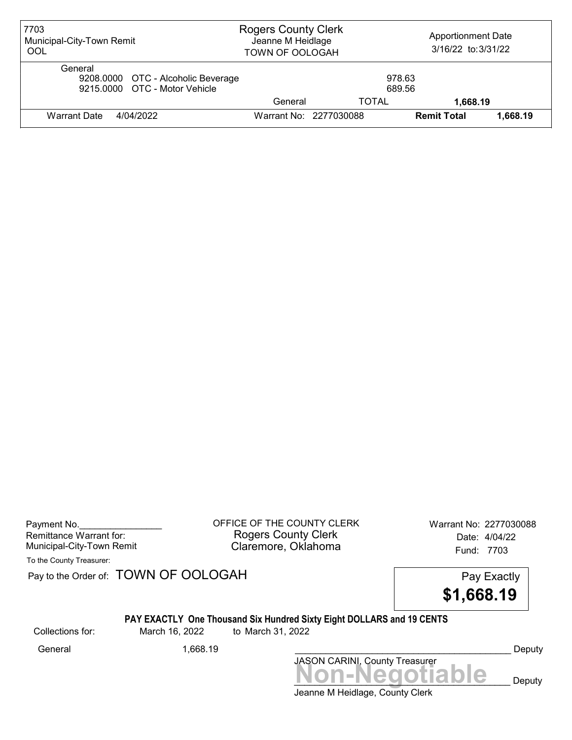| 7703<br>Municipal-City-Town Remit<br>OOL                                       | <b>Rogers County Clerk</b><br>Jeanne M Heidlage<br>TOWN OF OOLOGAH |                        | <b>Apportionment Date</b><br>3/16/22 to: 3/31/22 |          |
|--------------------------------------------------------------------------------|--------------------------------------------------------------------|------------------------|--------------------------------------------------|----------|
| General<br>9208.0000 OTC - Alcoholic Beverage<br>9215,0000 OTC - Motor Vehicle |                                                                    | 978.63<br>689.56       |                                                  |          |
|                                                                                | General                                                            | TOTAL                  | 1,668.19                                         |          |
| Warrant Date<br>4/04/2022                                                      |                                                                    | Warrant No: 2277030088 | <b>Remit Total</b>                               | 1.668.19 |

Payment No. 2277030088 COFFICE OF THE COUNTY CLERK Warrant No: 2277030088 Rogers County Clerk Date: 4/04/22 Municipal-City-Town Remit **Example 20** Claremore, Oklahoma **Example 20 Fund: 7703** 

To the County Treasurer:

Pay to the Order of: TOWN OF OOLOGAH Pay Exactly

\$1,668.19

## PAY EXACTLY One Thousand Six Hundred Sixty Eight DOLLARS and 19 CENTS

Collections for: March 16, 2022 to March 31, 2022

Non-Negotiable Deputy JASON CARINI, County Treasurer General 1,668.19 \_\_\_\_\_\_\_\_\_\_\_\_\_\_\_\_\_\_\_\_\_\_\_\_\_\_\_\_\_\_\_\_\_\_\_\_\_\_\_\_\_\_ Deputy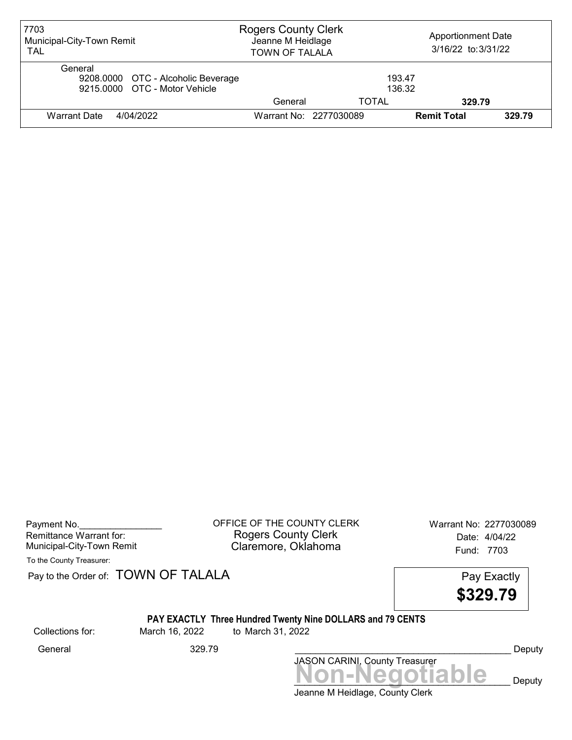| 7703<br>Municipal-City-Town Remit<br><b>TAL</b>                                | <b>Rogers County Clerk</b><br>Jeanne M Heidlage<br><b>TOWN OF TALALA</b> |                  | <b>Apportionment Date</b><br>3/16/22 to: 3/31/22 |        |
|--------------------------------------------------------------------------------|--------------------------------------------------------------------------|------------------|--------------------------------------------------|--------|
| General<br>9208.0000 OTC - Alcoholic Beverage<br>9215.0000 OTC - Motor Vehicle |                                                                          | 193.47<br>136.32 |                                                  |        |
|                                                                                | General                                                                  | TOTAL            | 329.79                                           |        |
| 4/04/2022<br><b>Warrant Date</b>                                               | Warrant No: 2277030089                                                   |                  | <b>Remit Total</b>                               | 329.79 |

| Payment No.               |  |
|---------------------------|--|
| Remittance Warrant for:   |  |
| Municipal-City-Town Remit |  |

OFFICE OF THE COUNTY CLERK Warrant No: 2277030089 Rogers County Clerk Date: 4/04/22 Claremore, Oklahoma<br>Fund: 7703

To the County Treasurer:

|                  | Pay to the Order of: TOWN OF TALALA |                                                                                        | Pay Exactly<br>\$329.79 |  |
|------------------|-------------------------------------|----------------------------------------------------------------------------------------|-------------------------|--|
| Collections for: | March 16, 2022                      | <b>PAY EXACTLY Three Hundred Twenty Nine DOLLARS and 79 CENTS</b><br>to March 31, 2022 |                         |  |

General 329.79 \_\_\_\_\_\_\_\_\_\_\_\_\_\_\_\_\_\_\_\_\_\_\_\_\_\_\_\_\_\_\_\_\_\_\_\_\_\_\_\_\_\_ Deputy

Collections for: March 16, 2022 to March 31, 2022

Jeanne M Heidlage, County Clerk -Negotiable <sub>Deputy</sub>

JASON CARINI, County Treasurer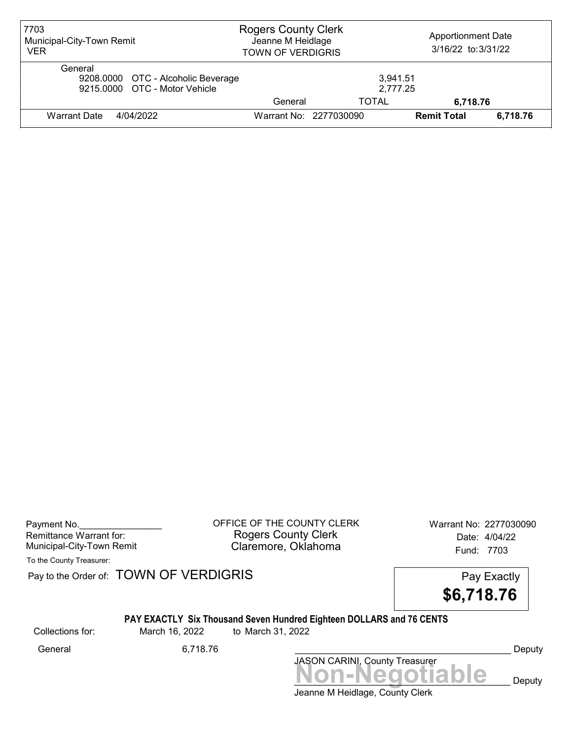| 7703<br>Municipal-City-Town Remit<br><b>VER</b>                                | <b>Rogers County Clerk</b><br>Jeanne M Heidlage<br><b>TOWN OF VERDIGRIS</b> |                        | <b>Apportionment Date</b><br>3/16/22 to: 3/31/22 |          |
|--------------------------------------------------------------------------------|-----------------------------------------------------------------------------|------------------------|--------------------------------------------------|----------|
| General<br>9208.0000 OTC - Alcoholic Beverage<br>9215.0000 OTC - Motor Vehicle |                                                                             | 3,941.51<br>2,777.25   |                                                  |          |
|                                                                                | General                                                                     | TOTAL                  | 6,718.76                                         |          |
| 4/04/2022<br>Warrant Date                                                      |                                                                             | Warrant No: 2277030090 | <b>Remit Total</b>                               | 6,718.76 |

Payment No. 2277030090 CHEICE OF THE COUNTY CLERK Warrant No: 2277030090 Rogers County Clerk Date: 4/04/22 Municipal-City-Town Remit **Example 20** Claremore, Oklahoma **Example 20 Fund: 7703** 

To the County Treasurer:

Pay to the Order of: TOWN OF VERDIGRIS Pay to the Order of: TOWN OF VERDIGRIS



## PAY EXACTLY Six Thousand Seven Hundred Eighteen DOLLARS and 76 CENTS

Collections for: March 16, 2022 to March 31, 2022

General 6,718.76 \_\_\_\_\_\_\_\_\_\_\_\_\_\_\_\_\_\_\_\_\_\_\_\_\_\_\_\_\_\_\_\_\_\_\_\_\_\_\_\_\_\_ Deputy

Jeanne M Heidlage, County Clerk Non-Negotiable Deputy

JASON CARINI, County Treasurer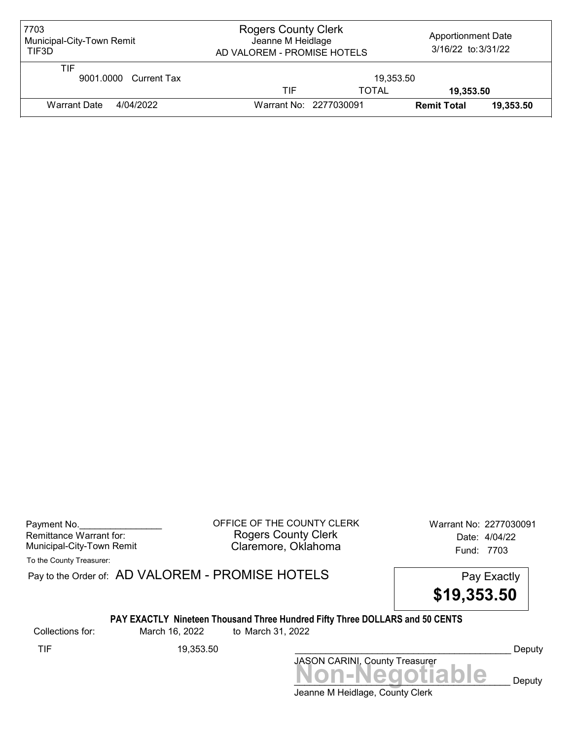| 7703<br>Municipal-City-Town Remit<br>TIF3D | <b>Rogers County Clerk</b><br>Apportionment Date<br>Jeanne M Heidlage<br>3/16/22 to: 3/31/22<br>AD VALOREM - PROMISE HOTELS |              |                    |           |
|--------------------------------------------|-----------------------------------------------------------------------------------------------------------------------------|--------------|--------------------|-----------|
| TIF<br>9001.0000 Current Tax               | 19,353.50                                                                                                                   |              |                    |           |
|                                            | TIF                                                                                                                         | <b>TOTAL</b> | 19.353.50          |           |
| Warrant Date<br>4/04/2022                  | Warrant No: 2277030091                                                                                                      |              | <b>Remit Total</b> | 19,353,50 |

Payment No. 2277030091 CONTICE OF THE COUNTY CLERK Warrant No: 2277030091 Rogers County Clerk Date: 4/04/22 Municipal-City-Town Remit **Example 20** Claremore, Oklahoma

To the County Treasurer:

Pay to the Order of: AD VALOREM - PROMISE HOTELS Pay Exactly

![](_page_23_Picture_6.jpeg)

#### PAY EXACTLY Nineteen Thousand Three Hundred Fifty Three DOLLARS and 50 CENTS

Collections for: March 16, 2022 to March 31, 2022

Non-Negotiable Deputy JASON CARINI, County Treasurer TIF 19,353.50 \_\_\_\_\_\_\_\_\_\_\_\_\_\_\_\_\_\_\_\_\_\_\_\_\_\_\_\_\_\_\_\_\_\_\_\_\_\_\_\_\_\_ Deputy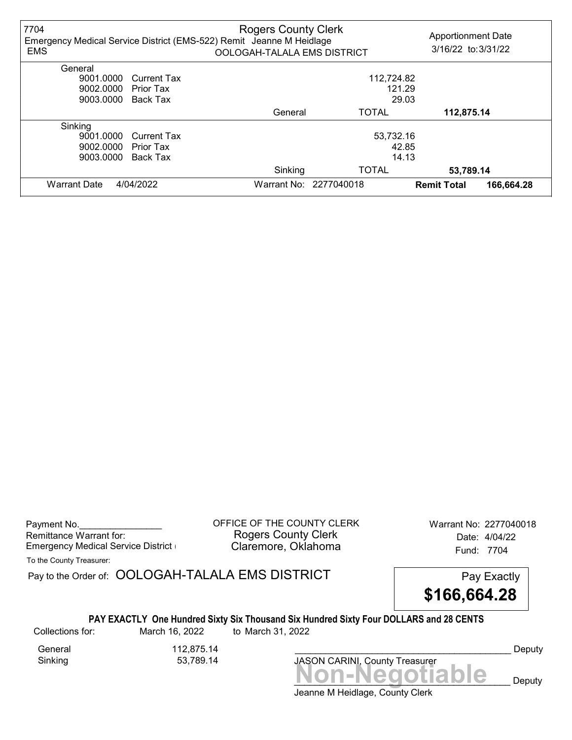| 7704<br><b>EMS</b>  |                    | <b>Rogers County Clerk</b><br>Emergency Medical Service District (EMS-522) Remit Jeanne M Heidlage<br>OOLOGAH-TALALA EMS DISTRICT |                        | <b>Apportionment Date</b><br>3/16/22 to: 3/31/22 |            |
|---------------------|--------------------|-----------------------------------------------------------------------------------------------------------------------------------|------------------------|--------------------------------------------------|------------|
| General             |                    |                                                                                                                                   |                        |                                                  |            |
| 9001.0000           | <b>Current Tax</b> |                                                                                                                                   | 112,724.82             |                                                  |            |
| 9002.0000           | Prior Tax          | 121.29                                                                                                                            |                        |                                                  |            |
| 9003.0000           | Back Tax           | 29.03                                                                                                                             |                        |                                                  |            |
|                     |                    | General                                                                                                                           | <b>TOTAL</b>           | 112,875.14                                       |            |
| Sinking             |                    |                                                                                                                                   |                        |                                                  |            |
| 9001.0000           | <b>Current Tax</b> |                                                                                                                                   | 53,732.16              |                                                  |            |
| 9002.0000           | <b>Prior Tax</b>   |                                                                                                                                   | 42.85                  |                                                  |            |
| 9003.0000           | Back Tax           |                                                                                                                                   | 14.13                  |                                                  |            |
|                     |                    | Sinking                                                                                                                           | <b>TOTAL</b>           | 53,789.14                                        |            |
| <b>Warrant Date</b> | 4/04/2022          |                                                                                                                                   | Warrant No: 2277040018 | <b>Remit Total</b>                               | 166,664.28 |

Payment No. 2277040018<br>
OFFICE OF THE COUNTY CLERK Warrant No: 2277040018 Rogers County Clerk<br>Claremore, Oklahoma<br>
Fund: 7704 Emergency Medical Service District **Claremore, Oklahoma** Fund: 7704

To the County Treasurer:

Pay to the Order of: OOLOGAH-TALALA EMS DISTRICT Pay Exactly

![](_page_24_Picture_6.jpeg)

## PAY EXACTLY One Hundred Sixty Six Thousand Six Hundred Sixty Four DOLLARS and 28 CENTS

Collections for: March 16, 2022 to March 31, 2022

Sinking 53,789.14

General 112,875.14

JASON CARINI, County Treasurer

Deputy

Jeanne M Heidlage, County Clerk Non-Negotiable Deputy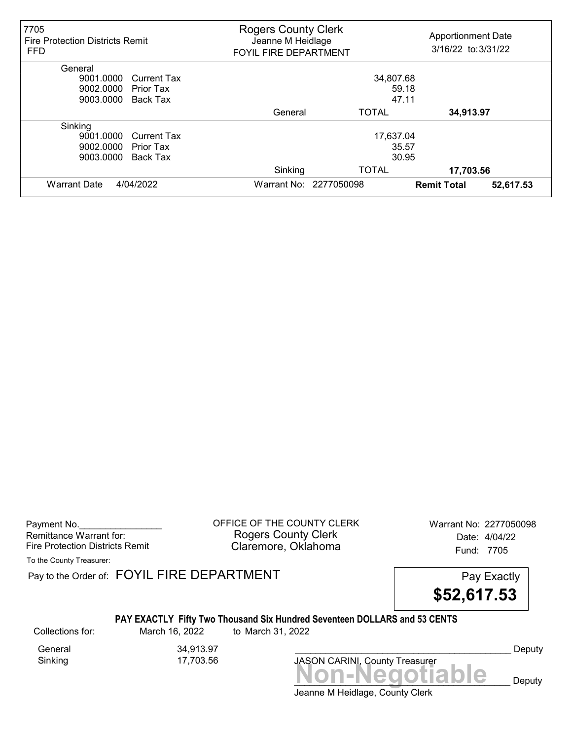| 7705<br><b>Fire Protection Districts Remit</b><br><b>FFD</b> |                    | <b>Rogers County Clerk</b><br><b>Apportionment Date</b><br>Jeanne M Heidlage<br>3/16/22 to: 3/31/22<br><b>FOYIL FIRE DEPARTMENT</b> |                        |                    |           |
|--------------------------------------------------------------|--------------------|-------------------------------------------------------------------------------------------------------------------------------------|------------------------|--------------------|-----------|
| General                                                      |                    |                                                                                                                                     |                        |                    |           |
| 9001.0000                                                    | <b>Current Tax</b> |                                                                                                                                     | 34,807.68              |                    |           |
| 9002.0000                                                    | Prior Tax          | 59.18                                                                                                                               |                        |                    |           |
| 9003.0000                                                    | Back Tax           | 47.11                                                                                                                               |                        |                    |           |
|                                                              |                    | General                                                                                                                             | <b>TOTAL</b>           | 34,913.97          |           |
| Sinking                                                      |                    |                                                                                                                                     |                        |                    |           |
| 9001.0000                                                    | <b>Current Tax</b> |                                                                                                                                     | 17,637.04              |                    |           |
| 9002.0000                                                    | Prior Tax          |                                                                                                                                     | 35.57                  |                    |           |
| 9003.0000                                                    | Back Tax           | 30.95                                                                                                                               |                        |                    |           |
|                                                              |                    | Sinking                                                                                                                             | <b>TOTAL</b>           | 17,703.56          |           |
| <b>Warrant Date</b><br>4/04/2022                             |                    |                                                                                                                                     | Warrant No: 2277050098 | <b>Remit Total</b> | 52,617.53 |

Payment No. 2277050098 COFFICE OF THE COUNTY CLERK Warrant No: 2277050098 Rogers County Clerk Date: 4/04/22 Fire Protection Districts Remit **Claremore, Oklahoma** Fund: 7705

To the County Treasurer:

Pay to the Order of: FOYIL FIRE DEPARTMENT FREE PAY EXACTLY

![](_page_25_Picture_6.jpeg)

### PAY EXACTLY Fifty Two Thousand Six Hundred Seventeen DOLLARS and 53 CENTS

Collections for: March 16, 2022 to March 31, 2022

General 34,913.97<br>Sinking 17,703.56 17,703.56

Jeanne M Heidlage, County Clerk Non-Negotiable Deputy JASON CARINI, County Treasurer

Deputy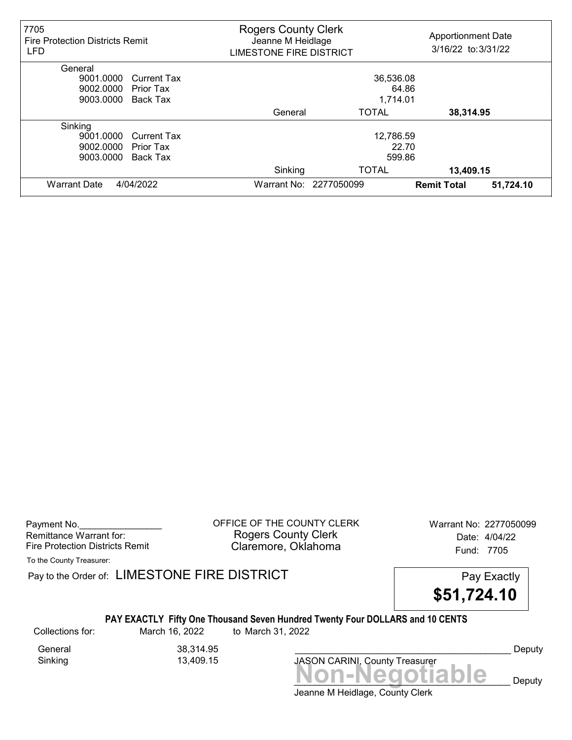| 7705<br><b>Fire Protection Districts Remit</b><br><b>LFD</b> |                    | <b>Rogers County Clerk</b><br><b>Apportionment Date</b><br>Jeanne M Heidlage<br>3/16/22 to: 3/31/22<br><b>LIMESTONE FIRE DISTRICT</b> |                    |           |
|--------------------------------------------------------------|--------------------|---------------------------------------------------------------------------------------------------------------------------------------|--------------------|-----------|
| General                                                      |                    |                                                                                                                                       |                    |           |
| 9001.0000                                                    | <b>Current Tax</b> | 36,536.08                                                                                                                             |                    |           |
| 9002.0000<br>Prior Tax                                       |                    | 64.86                                                                                                                                 |                    |           |
| 9003.0000<br>Back Tax                                        |                    | 1,714.01                                                                                                                              |                    |           |
|                                                              | General            | <b>TOTAL</b>                                                                                                                          | 38,314.95          |           |
| Sinking                                                      |                    |                                                                                                                                       |                    |           |
| 9001.0000                                                    | <b>Current Tax</b> | 12,786.59                                                                                                                             |                    |           |
| 9002.0000<br>Prior Tax                                       |                    | 22.70                                                                                                                                 |                    |           |
| 9003.0000<br>Back Tax                                        |                    | 599.86                                                                                                                                |                    |           |
|                                                              | Sinking            | <b>TOTAL</b>                                                                                                                          | 13,409.15          |           |
| <b>Warrant Date</b><br>4/04/2022                             |                    | Warrant No: 2277050099                                                                                                                | <b>Remit Total</b> | 51,724.10 |

Payment No. 2277050099 COFFICE OF THE COUNTY CLERK Warrant No: 2277050099 Rogers County Clerk Date: 4/04/22 Fire Protection Districts Remit **Claremore, Oklahoma** Fund: 7705

To the County Treasurer:

Pay to the Order of: LIMESTONE FIRE DISTRICT Pay Exactly Pay Exactly

\$51,724.10

### PAY EXACTLY Fifty One Thousand Seven Hundred Twenty Four DOLLARS and 10 CENTS

Collections for: March 16, 2022 to March 31, 2022

Sinking 13,409.15

General 38,314.95

Deputy

Jeanne M Heidlage, County Clerk

JASON CARINI, County Treasurer

Non-Negotiable Deputy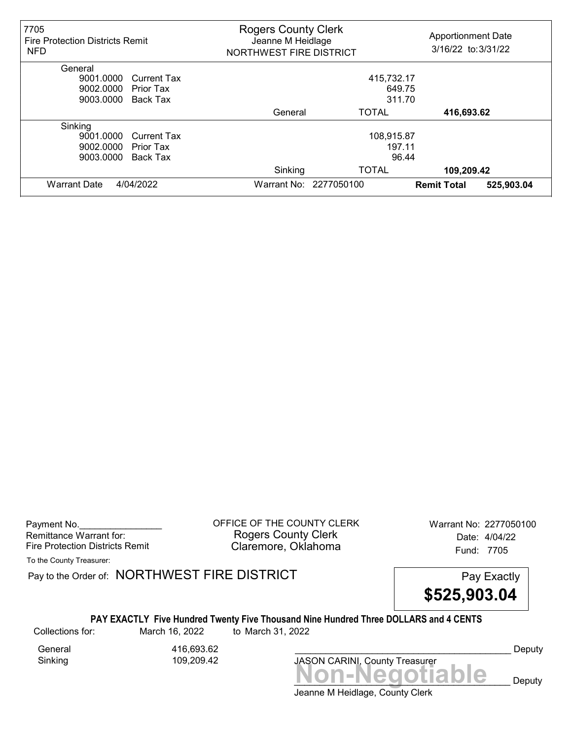| 7705<br><b>Fire Protection Districts Remit</b><br><b>NFD</b> |         | <b>Rogers County Clerk</b><br>Jeanne M Heidlage<br>NORTHWEST FIRE DISTRICT |                                  |  |
|--------------------------------------------------------------|---------|----------------------------------------------------------------------------|----------------------------------|--|
| General                                                      |         |                                                                            |                                  |  |
| 9001.0000<br><b>Current Tax</b>                              |         | 415,732.17                                                                 |                                  |  |
| 9002.0000<br>Prior Tax                                       |         | 649.75                                                                     |                                  |  |
| 9003.0000<br>Back Tax                                        |         | 311.70                                                                     |                                  |  |
|                                                              | General | <b>TOTAL</b>                                                               | 416,693.62                       |  |
| Sinking                                                      |         |                                                                            |                                  |  |
| 9001.0000<br><b>Current Tax</b>                              |         | 108,915.87                                                                 |                                  |  |
| 9002.0000<br>Prior Tax                                       |         | 197.11                                                                     |                                  |  |
| 9003.0000<br>Back Tax                                        |         | 96.44                                                                      |                                  |  |
|                                                              | Sinking | <b>TOTAL</b>                                                               | 109,209.42                       |  |
| <b>Warrant Date</b><br>4/04/2022                             |         | Warrant No: 2277050100                                                     | 525,903.04<br><b>Remit Total</b> |  |

Payment No. 2277050100<br>
OFFICE OF THE COUNTY CLERK Warrant No: 2277050100 Rogers County Clerk Date: 4/04/22 Fire Protection Districts Remit **Claremore, Oklahoma** Fund: 7705

To the County Treasurer:

Pay to the Order of: NORTHWEST FIRE DISTRICT FIRE Pay Exactly

![](_page_27_Picture_6.jpeg)

#### PAY EXACTLY Five Hundred Twenty Five Thousand Nine Hundred Three DOLLARS and 4 CENTS

Collections for: March 16, 2022 to March 31, 2022

General 416,693.62 Sinking 109,209.42

Non-Negotiable Deputy JASON CARINI, County Treasurer

Deputy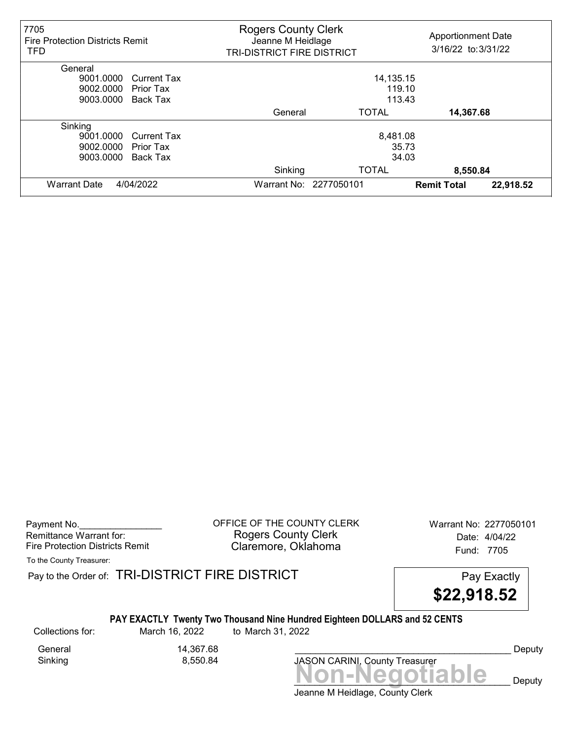| 7705<br><b>Fire Protection Districts Remit</b><br><b>TFD</b> |         | <b>Rogers County Clerk</b><br><b>Apportionment Date</b><br>Jeanne M Heidlage<br>3/16/22 to: 3/31/22<br><b>TRI-DISTRICT FIRE DISTRICT</b> |                    |           |
|--------------------------------------------------------------|---------|------------------------------------------------------------------------------------------------------------------------------------------|--------------------|-----------|
| General                                                      |         |                                                                                                                                          |                    |           |
| 9001.0000<br><b>Current Tax</b>                              |         | 14,135.15                                                                                                                                |                    |           |
| 9002.0000<br>Prior Tax                                       |         | 119.10                                                                                                                                   |                    |           |
| 9003.0000<br>Back Tax                                        |         | 113.43                                                                                                                                   |                    |           |
|                                                              | General | <b>TOTAL</b>                                                                                                                             | 14,367.68          |           |
| Sinking                                                      |         |                                                                                                                                          |                    |           |
| 9001.0000<br><b>Current Tax</b>                              |         | 8,481.08                                                                                                                                 |                    |           |
| 9002.0000<br>Prior Tax                                       |         | 35.73                                                                                                                                    |                    |           |
| 9003.0000<br>Back Tax                                        |         | 34.03                                                                                                                                    |                    |           |
|                                                              | Sinking | <b>TOTAL</b>                                                                                                                             | 8,550.84           |           |
| <b>Warrant Date</b><br>4/04/2022                             |         | Warrant No: 2277050101                                                                                                                   | <b>Remit Total</b> | 22,918.52 |

Payment No. 2277050101 CONTICE OF THE COUNTY CLERK Warrant No: 2277050101 Rogers County Clerk Date: 4/04/22 Fire Protection Districts Remit **Claremore, Oklahoma** Fund: 7705

To the County Treasurer:

Pay to the Order of: TRI-DISTRICT FIRE DISTRICT **Pay Exactly** Pay Exactly

![](_page_28_Picture_6.jpeg)

### PAY EXACTLY Twenty Two Thousand Nine Hundred Eighteen DOLLARS and 52 CENTS

Collections for: March 16, 2022 to March 31, 2022

General 14,367.68<br>Sinking 8,550.84

8,550.84

Non-Negotiable Deputy JASON CARINI, County Treasurer

Deputy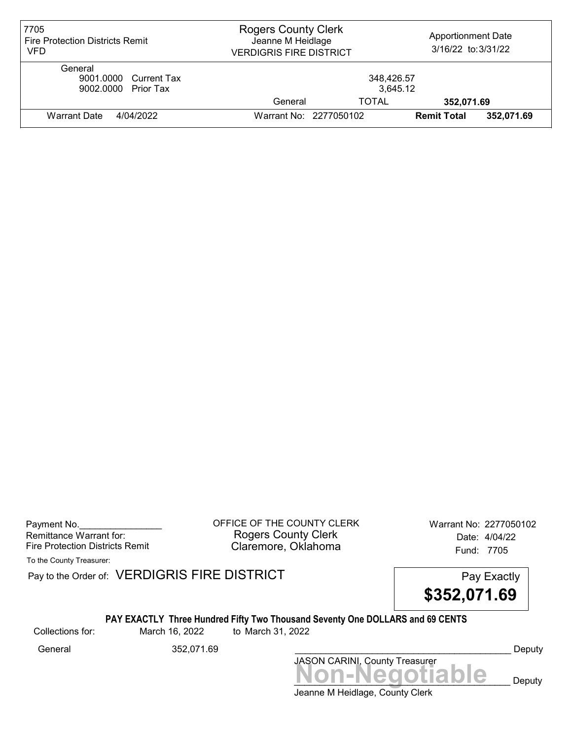| 7705<br><b>Fire Protection Districts Remit</b><br>VFD   | <b>Rogers County Clerk</b><br><b>Apportionment Date</b><br>Jeanne M Heidlage<br>3/16/22 to: 3/31/22<br><b>VERDIGRIS FIRE DISTRICT</b> |                        |                    |            |
|---------------------------------------------------------|---------------------------------------------------------------------------------------------------------------------------------------|------------------------|--------------------|------------|
| General<br>9001.0000 Current Tax<br>9002.0000 Prior Tax | 348,426.57<br>3,645.12                                                                                                                |                        |                    |            |
|                                                         | General                                                                                                                               | <b>TOTAL</b>           | 352,071.69         |            |
| Warrant Date<br>4/04/2022                               |                                                                                                                                       | Warrant No: 2277050102 | <b>Remit Total</b> | 352,071.69 |

Payment No. 2277050102 Rogers County Clerk Date: 4/04/22 Fire Protection Districts Remit **Claremore, Oklahoma** Fund: 7705

To the County Treasurer:

Pay to the Order of: VERDIGRIS FIRE DISTRICT Pay to the Order of: VERDIGRIS FIRE DISTRICT

![](_page_29_Picture_6.jpeg)

## PAY EXACTLY Three Hundred Fifty Two Thousand Seventy One DOLLARS and 69 CENTS

Collections for: March 16, 2022 to March 31, 2022

Jeanne M Heidlage, County Clerk Non-Negotiable Deputy JASON CARINI, County Treasurer General 352,071.69 \_\_\_\_\_\_\_\_\_\_\_\_\_\_\_\_\_\_\_\_\_\_\_\_\_\_\_\_\_\_\_\_\_\_\_\_\_\_\_\_\_\_ Deputy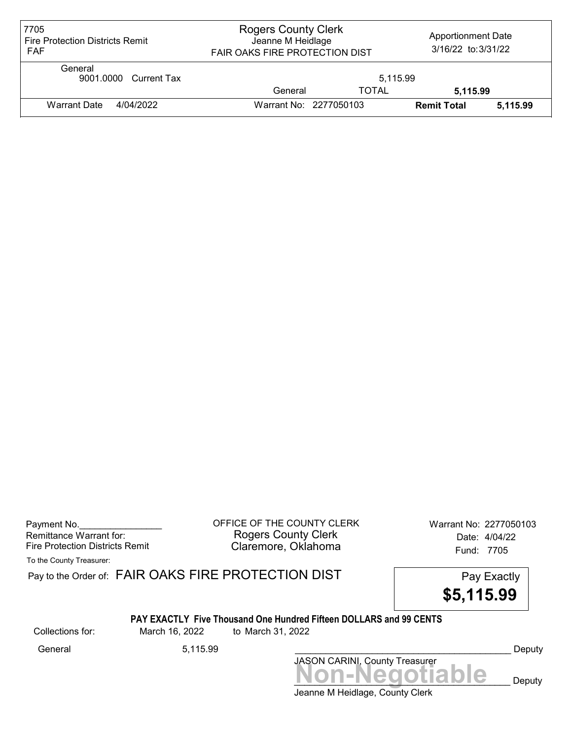| 7705<br><b>Fire Protection Districts Remit</b><br><b>FAF</b> | <b>Rogers County Clerk</b><br><b>Apportionment Date</b><br>Jeanne M Heidlage<br>3/16/22 to: 3/31/22<br><b>FAIR OAKS FIRE PROTECTION DIST</b> |              |                    |          |
|--------------------------------------------------------------|----------------------------------------------------------------------------------------------------------------------------------------------|--------------|--------------------|----------|
| General<br>9001.0000 Current Tax                             |                                                                                                                                              | 5.115.99     |                    |          |
|                                                              | General                                                                                                                                      | <b>TOTAL</b> | 5.115.99           |          |
| <b>Warrant Date</b><br>4/04/2022                             | Warrant No: 2277050103                                                                                                                       |              | <b>Remit Total</b> | 5,115.99 |

| Payment No.                     |
|---------------------------------|
| Remittance Warrant for:         |
| Fire Protection Districts Remit |

OFFICE OF THE COUNTY CLERK Warrant No: 2277050103 Rogers County Clerk Date: 4/04/22 Claremore, Oklahoma Fund: 7705

To the County Treasurer:

Pay to the Order of: FAIR OAKS FIRE PROTECTION DIST Pay Exactly

![](_page_30_Picture_6.jpeg)

#### PAY EXACTLY Five Thousand One Hundred Fifteen DOLLARS and 99 CENTS

Collections for: March 16, 2022 to March 31, 2022

JASON CARINI, County Treasurer<br>
MON-Negotiable Deputy General 5,115.99 \_\_\_\_\_\_\_\_\_\_\_\_\_\_\_\_\_\_\_\_\_\_\_\_\_\_\_\_\_\_\_\_\_\_\_\_\_\_\_\_\_\_ Deputy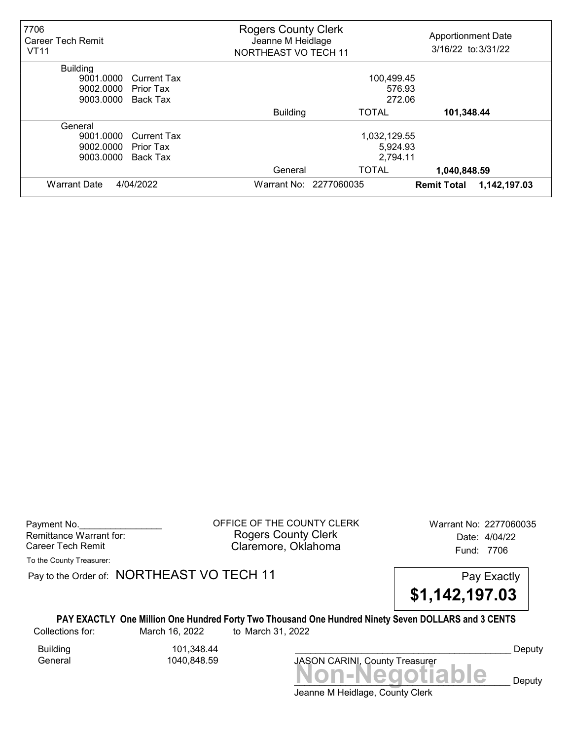| 7706<br>Career Tech Remit<br><b>VT11</b> |                    | <b>Rogers County Clerk</b><br><b>Apportionment Date</b><br>Jeanne M Heidlage<br>3/16/22 to: 3/31/22<br><b>NORTHEAST VO TECH 11</b> |                        |                    |              |  |
|------------------------------------------|--------------------|------------------------------------------------------------------------------------------------------------------------------------|------------------------|--------------------|--------------|--|
| <b>Building</b>                          |                    |                                                                                                                                    |                        |                    |              |  |
| 9001.0000                                | <b>Current Tax</b> | 100,499.45                                                                                                                         |                        |                    |              |  |
| 9002.0000                                | Prior Tax          | 576.93                                                                                                                             |                        |                    |              |  |
| 9003.0000                                | Back Tax           | 272.06                                                                                                                             |                        |                    |              |  |
|                                          |                    | <b>Building</b>                                                                                                                    | <b>TOTAL</b>           | 101,348.44         |              |  |
| General                                  |                    |                                                                                                                                    |                        |                    |              |  |
| 9001.0000                                | <b>Current Tax</b> | 1,032,129.55                                                                                                                       |                        |                    |              |  |
| 9002.0000                                | Prior Tax          | 5,924.93                                                                                                                           |                        |                    |              |  |
| 9003.0000                                | Back Tax           | 2,794.11                                                                                                                           |                        |                    |              |  |
|                                          |                    | General                                                                                                                            | TOTAL                  | 1,040,848.59       |              |  |
| 4/04/2022<br><b>Warrant Date</b>         |                    |                                                                                                                                    | Warrant No: 2277060035 | <b>Remit Total</b> | 1,142,197.03 |  |

Payment No. 2277060035 CONSIDERT OF THE COUNTY CLERK Warrant No: 2277060035 Rogers County Clerk Date: 4/04/22 Career Tech Remit **Claremore, Oklahoma Career Tech Remit** 7706

To the County Treasurer:

Pay to the Order of: NORTHEAST VO TECH 11 Pay Exactly

![](_page_31_Picture_6.jpeg)

PAY EXACTLY One Million One Hundred Forty Two Thousand One Hundred Ninety Seven DOLLARS and 3 CENTS Collections for: March 16, 2022 to March 31, 2022

Building 101,348.44 General 1040,848.59

Jeanne M Heidlage, County Clerk Non-Negotiable Deputy JASON CARINI, County Treasurer Deputy